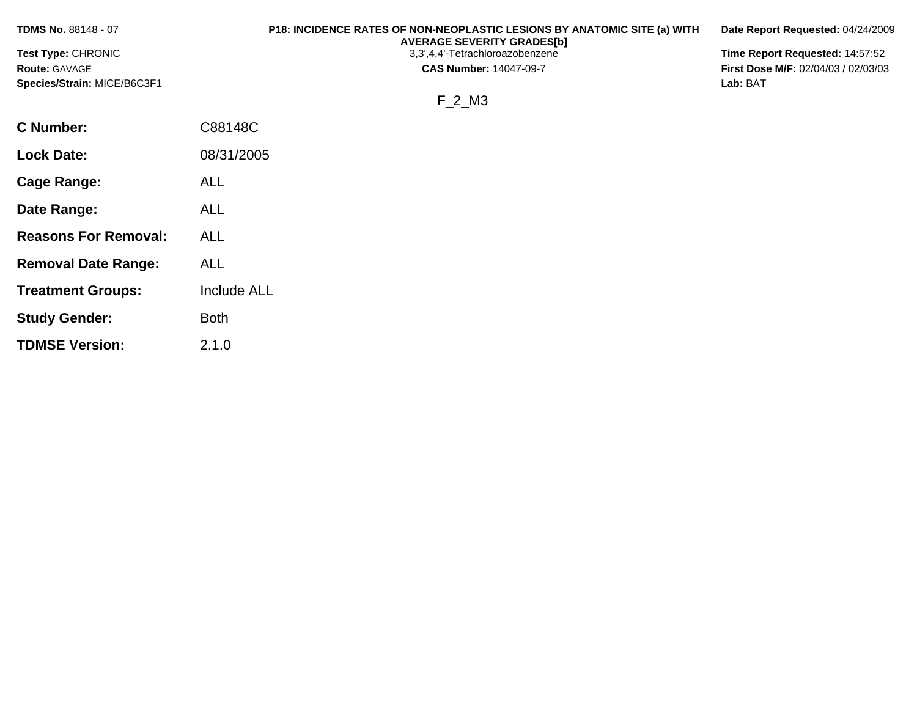| <b>TDMS No. 88148 - 07</b>  | P18: INCIDENCE RATES OF NON-NEOPLASTIC LESIONS BY ANATOMIC SITE (a) WITH<br><b>AVERAGE SEVERITY GRADES[b]</b> | Date Report Requested: 04/24/2009          |
|-----------------------------|---------------------------------------------------------------------------------------------------------------|--------------------------------------------|
| Test Type: CHRONIC          | 3,3',4,4'-Tetrachloroazobenzene                                                                               | Time Report Requested: 14:57:52            |
| <b>Route: GAVAGE</b>        | <b>CAS Number: 14047-09-7</b>                                                                                 | <b>First Dose M/F: 02/04/03 / 02/03/03</b> |
| Species/Strain: MICE/B6C3F1 |                                                                                                               | Lab: BAT                                   |
|                             | F 2 M3                                                                                                        |                                            |
| C Number:                   | C88148C                                                                                                       |                                            |
| <b>Lock Date:</b>           | 08/31/2005                                                                                                    |                                            |

**Cage Range:** ALL

**Date Range:** ALL

**Reasons For Removal:** ALL

**Removal Date Range:** ALL

**Study Gender:** Both

**TDMSE Version:** 2.1.0

**Treatment Groups:** Include ALL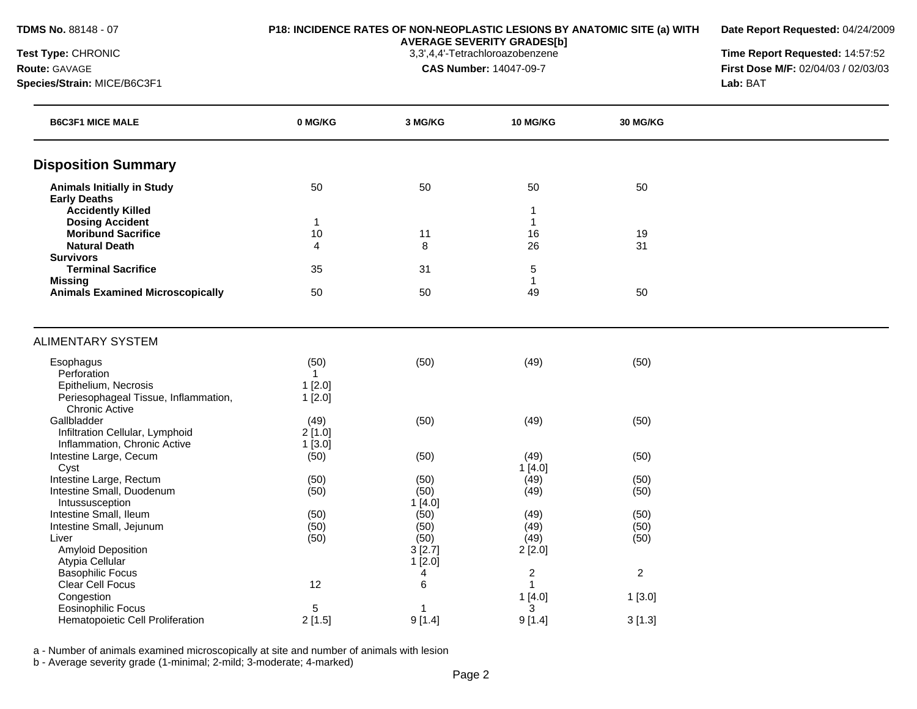**Date Report Requested:** 04/24/2009

**AVERAGE SEVERITY GRADES[b]**

**Test Type:** CHRONIC 3,3',4,4'-Tetrachloroazobenzene **Time Report Requested:** 14:57:52 **Route:** GAVAGE **CAS Number:** 14047-09-7 **First Dose M/F:** 02/04/03 / 02/03/03 **Species/Strain:** MICE/B6C3F1 **Lab:** BAT

| <b>B6C3F1 MICE MALE</b>                                         | 0 MG/KG              | 3 MG/KG                  | 10 MG/KG           | 30 MG/KG       |  |
|-----------------------------------------------------------------|----------------------|--------------------------|--------------------|----------------|--|
| <b>Disposition Summary</b>                                      |                      |                          |                    |                |  |
| <b>Animals Initially in Study</b>                               | 50                   | 50                       | 50                 | 50             |  |
| <b>Early Deaths</b>                                             |                      |                          |                    |                |  |
| <b>Accidently Killed</b>                                        |                      |                          | 1                  |                |  |
| <b>Dosing Accident</b><br><b>Moribund Sacrifice</b>             | $\mathbf{1}$<br>10   | 11                       | $\mathbf{1}$<br>16 | 19             |  |
| <b>Natural Death</b>                                            | 4                    | 8                        | 26                 | 31             |  |
| <b>Survivors</b>                                                |                      |                          |                    |                |  |
| <b>Terminal Sacrifice</b>                                       | 35                   | 31                       | 5                  |                |  |
| <b>Missing</b>                                                  |                      |                          | $\mathbf{1}$       |                |  |
| <b>Animals Examined Microscopically</b>                         | 50                   | 50                       | 49                 | 50             |  |
| <b>ALIMENTARY SYSTEM</b>                                        |                      |                          |                    |                |  |
|                                                                 |                      |                          |                    |                |  |
| Esophagus<br>Perforation                                        | (50)<br>$\mathbf{1}$ | (50)                     | (49)               | (50)           |  |
| Epithelium, Necrosis                                            | $1$ [2.0]            |                          |                    |                |  |
| Periesophageal Tissue, Inflammation,                            | 1[2.0]               |                          |                    |                |  |
| <b>Chronic Active</b>                                           |                      |                          |                    |                |  |
| Gallbladder                                                     | (49)                 | (50)                     | (49)               | (50)           |  |
| Infiltration Cellular, Lymphoid<br>Inflammation, Chronic Active | 2[1.0]<br>1[3.0]     |                          |                    |                |  |
| Intestine Large, Cecum                                          | (50)                 | (50)                     | (49)               | (50)           |  |
| Cyst                                                            |                      |                          | 1[4.0]             |                |  |
| Intestine Large, Rectum                                         | (50)                 | (50)                     | (49)               | (50)           |  |
| Intestine Small, Duodenum                                       | (50)                 | (50)                     | (49)               | (50)           |  |
| Intussusception                                                 |                      | 1[4.0]                   |                    |                |  |
| Intestine Small, Ileum<br>Intestine Small, Jejunum              | (50)<br>(50)         | (50)<br>(50)             | (49)<br>(49)       | (50)<br>(50)   |  |
| Liver                                                           | (50)                 | (50)                     | (49)               | (50)           |  |
| <b>Amyloid Deposition</b>                                       |                      | 3[2.7]                   | 2[2.0]             |                |  |
| Atypia Cellular                                                 |                      | 1[2.0]                   |                    |                |  |
| <b>Basophilic Focus</b>                                         |                      | 4                        | $\overline{c}$     | $\overline{c}$ |  |
| Clear Cell Focus                                                | 12                   | 6                        | $\overline{1}$     |                |  |
| Congestion                                                      |                      |                          | 1[4.0]             | 1[3.0]         |  |
| Eosinophilic Focus<br>Hematopoietic Cell Proliferation          | 5<br>2[1.5]          | $\overline{1}$<br>9[1.4] | 3<br>9[1.4]        | 3[1.3]         |  |
|                                                                 |                      |                          |                    |                |  |

a - Number of animals examined microscopically at site and number of animals with lesion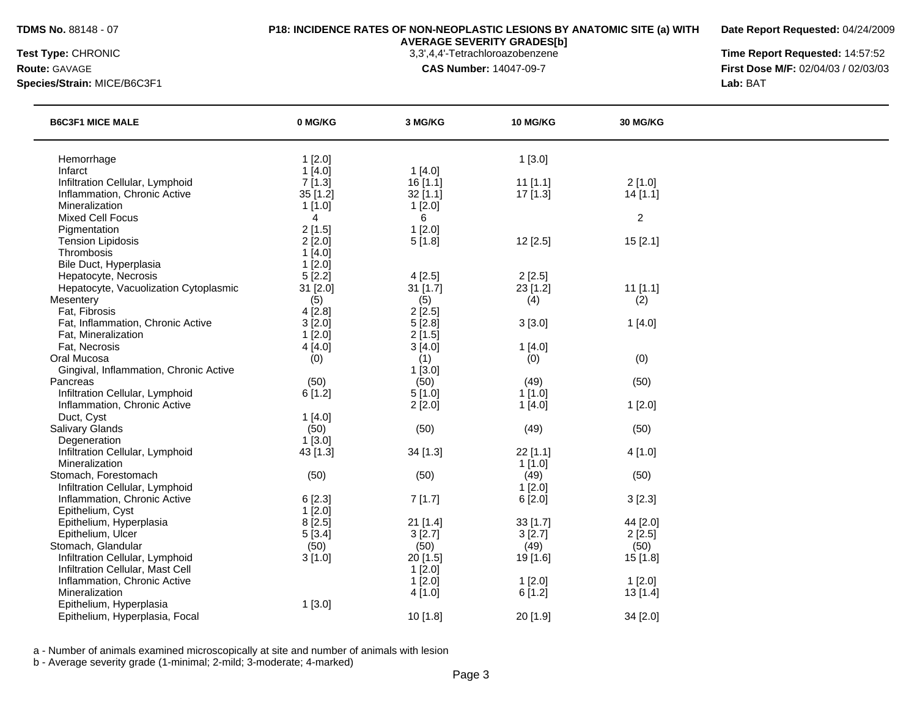**Date Report Requested:** 04/24/2009

**AVERAGE SEVERITY GRADES[b]**

**Species/Strain:** MICE/B6C3F1 **Lab:** BAT

**Test Type:** CHRONIC 3,3',4,4'-Tetrachloroazobenzene **Time Report Requested:** 14:57:52 **Route:** GAVAGE **CAS Number:** 14047-09-7 **First Dose M/F:** 02/04/03 / 02/03/03

| <b>B6C3F1 MICE MALE</b>                | 0 MG/KG        | 3 MG/KG    | 10 MG/KG   | 30 MG/KG       |  |
|----------------------------------------|----------------|------------|------------|----------------|--|
| Hemorrhage                             | 1[2.0]         |            | 1[3.0]     |                |  |
| Infarct                                | 1[4.0]         | 1[4.0]     |            |                |  |
| Infiltration Cellular, Lymphoid        | 7[1.3]         | 16[1.1]    | $11$ [1.1] | 2[1.0]         |  |
| Inflammation, Chronic Active           | 35 [1.2]       | $32$ [1.1] | $17$ [1.3] | 14[1.1]        |  |
| Mineralization                         | 1[1.0]         | 1[2.0]     |            |                |  |
| <b>Mixed Cell Focus</b>                | $\overline{4}$ | 6          |            | $\overline{c}$ |  |
| Pigmentation                           | 2[1.5]         | 1[2.0]     |            |                |  |
| <b>Tension Lipidosis</b>               | 2[2.0]         | 5[1.8]     | 12[2.5]    | 15[2.1]        |  |
| Thrombosis                             | 1[4.0]         |            |            |                |  |
| Bile Duct, Hyperplasia                 | 1[2.0]         |            |            |                |  |
| Hepatocyte, Necrosis                   | 5[2.2]         | 4[2.5]     | 2[2.5]     |                |  |
| Hepatocyte, Vacuolization Cytoplasmic  | 31 [2.0]       | $31$ [1.7] | 23 [1.2]   | $11$ [1.1]     |  |
| Mesentery                              | (5)            | (5)        | (4)        | (2)            |  |
| Fat, Fibrosis                          | 4[2.8]         | 2[2.5]     |            |                |  |
| Fat, Inflammation, Chronic Active      | 3[2.0]         | 5[2.8]     | 3[3.0]     | 1[4.0]         |  |
| Fat, Mineralization                    | 1[2.0]         | 2[1.5]     |            |                |  |
| Fat, Necrosis                          | 4[4.0]         | 3[4.0]     | 1[4.0]     |                |  |
| Oral Mucosa                            | (0)            | (1)        | (0)        | (0)            |  |
| Gingival, Inflammation, Chronic Active |                | 1[3.0]     |            |                |  |
| Pancreas                               | (50)           | (50)       | (49)       | (50)           |  |
| Infiltration Cellular, Lymphoid        | 6[1.2]         | 5[1.0]     | 1[1.0]     |                |  |
| Inflammation, Chronic Active           |                | 2[2.0]     | 1[4.0]     | 1[2.0]         |  |
| Duct, Cyst                             | 1[4.0]         |            |            |                |  |
| <b>Salivary Glands</b>                 | (50)           | (50)       | (49)       | (50)           |  |
| Degeneration                           | 1[3.0]         |            |            |                |  |
| Infiltration Cellular, Lymphoid        | 43 [1.3]       | 34 [1.3]   | 22 [1.1]   | 4[1.0]         |  |
| Mineralization                         |                |            | 1[1.0]     |                |  |
| Stomach, Forestomach                   | (50)           | (50)       | (49)       | (50)           |  |
| Infiltration Cellular, Lymphoid        |                |            | 1[2.0]     |                |  |
| Inflammation, Chronic Active           | 6[2.3]         | 7[1.7]     | 6[2.0]     | 3[2.3]         |  |
| Epithelium, Cyst                       | 1[2.0]         |            |            |                |  |
| Epithelium, Hyperplasia                | 8[2.5]         | $21$ [1.4] | $33$ [1.7] | 44 [2.0]       |  |
| Epithelium, Ulcer                      | 5[3.4]         | 3[2.7]     | 3[2.7]     | 2[2.5]         |  |
| Stomach, Glandular                     | (50)           | (50)       | (49)       | (50)           |  |
| Infiltration Cellular, Lymphoid        | 3[1.0]         | 20 [1.5]   | 19 [1.6]   | 15 [1.8]       |  |
| Infiltration Cellular, Mast Cell       |                | 1[2.0]     |            |                |  |
| Inflammation, Chronic Active           |                | 1[2.0]     | 1[2.0]     | 1[2.0]         |  |
| Mineralization                         |                | 4[1.0]     | 6[1.2]     | 13 [1.4]       |  |
| Epithelium, Hyperplasia                | 1[3.0]         |            |            |                |  |
| Epithelium, Hyperplasia, Focal         |                | 10 [1.8]   | 20 [1.9]   | 34 [2.0]       |  |
|                                        |                |            |            |                |  |

a - Number of animals examined microscopically at site and number of animals with lesion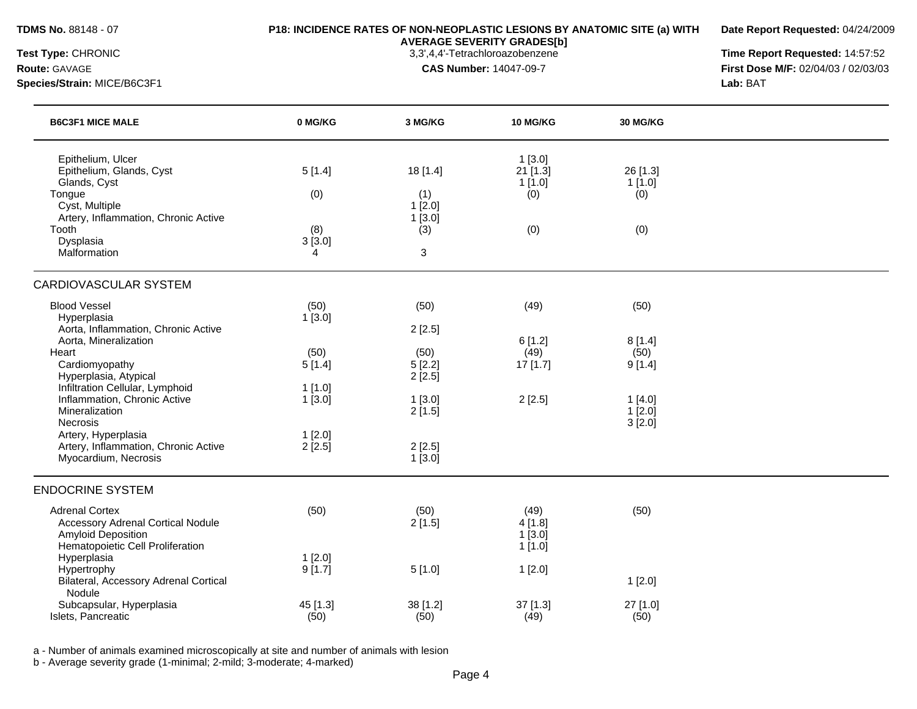**Date Report Requested:** 04/24/2009

**Species/Strain:** MICE/B6C3F1 **Lab:** BAT

**AVERAGE SEVERITY GRADES[b]**

**Test Type:** CHRONIC 3,3',4,4'-Tetrachloroazobenzene **Time Report Requested:** 14:57:52 **Route:** GAVAGE **CAS Number:** 14047-09-7 **First Dose M/F:** 02/04/03 / 02/03/03

| <b>B6C3F1 MICE MALE</b>                                                                                                                                                 | 0 MG/KG                             | 3 MG/KG                                            | <b>10 MG/KG</b>                                 | 30 MG/KG                                |  |
|-------------------------------------------------------------------------------------------------------------------------------------------------------------------------|-------------------------------------|----------------------------------------------------|-------------------------------------------------|-----------------------------------------|--|
| Epithelium, Ulcer<br>Epithelium, Glands, Cyst<br>Glands, Cyst<br>Tongue<br>Cyst, Multiple<br>Artery, Inflammation, Chronic Active<br>Tooth<br>Dysplasia<br>Malformation | 5[1.4]<br>(0)<br>(8)<br>3[3.0]<br>4 | 18 [1.4]<br>(1)<br>$1$ [2.0]<br>1[3.0]<br>(3)<br>3 | $1$ [3.0]<br>$21$ [1.3]<br>1[1.0]<br>(0)<br>(0) | 26 [1.3]<br>1[1.0]<br>(0)<br>(0)        |  |
| CARDIOVASCULAR SYSTEM                                                                                                                                                   |                                     |                                                    |                                                 |                                         |  |
| <b>Blood Vessel</b><br>Hyperplasia<br>Aorta, Inflammation, Chronic Active<br>Aorta, Mineralization<br>Heart                                                             | (50)<br>1[3.0]<br>(50)              | (50)<br>2[2.5]<br>(50)                             | (49)<br>6[1.2]<br>(49)                          | (50)<br>8[1.4]<br>(50)                  |  |
| Cardiomyopathy<br>Hyperplasia, Atypical<br>Infiltration Cellular, Lymphoid<br>Inflammation, Chronic Active<br>Mineralization<br>Necrosis                                | 5[1.4]<br>$1$ [1.0]<br>1[3.0]       | 5[2.2]<br>2[2.5]<br>1[3.0]<br>2[1.5]               | 17 [1.7]<br>2[2.5]                              | 9[1.4]<br>1[4.0]<br>$1$ [2.0]<br>3[2.0] |  |
| Artery, Hyperplasia<br>Artery, Inflammation, Chronic Active<br>Myocardium, Necrosis                                                                                     | $1$ [2.0]<br>$2$ [ $2.5$ ]          | 2[2.5]<br>1[3.0]                                   |                                                 |                                         |  |
| <b>ENDOCRINE SYSTEM</b>                                                                                                                                                 |                                     |                                                    |                                                 |                                         |  |
| <b>Adrenal Cortex</b><br><b>Accessory Adrenal Cortical Nodule</b><br>Amyloid Deposition<br>Hematopoietic Cell Proliferation                                             | (50)                                | (50)<br>2[1.5]                                     | (49)<br>4[1.8]<br>1[3.0]<br>1[1.0]              | (50)                                    |  |
| Hyperplasia<br>Hypertrophy<br>Bilateral, Accessory Adrenal Cortical<br>Nodule                                                                                           | 1[2.0]<br>9[1.7]                    | 5[1.0]                                             | 1[2.0]                                          | 1[2.0]                                  |  |
| Subcapsular, Hyperplasia<br>Islets, Pancreatic                                                                                                                          | 45 [1.3]<br>(50)                    | 38 [1.2]<br>(50)                                   | 37 [1.3]<br>(49)                                | 27 [1.0]<br>(50)                        |  |

a - Number of animals examined microscopically at site and number of animals with lesion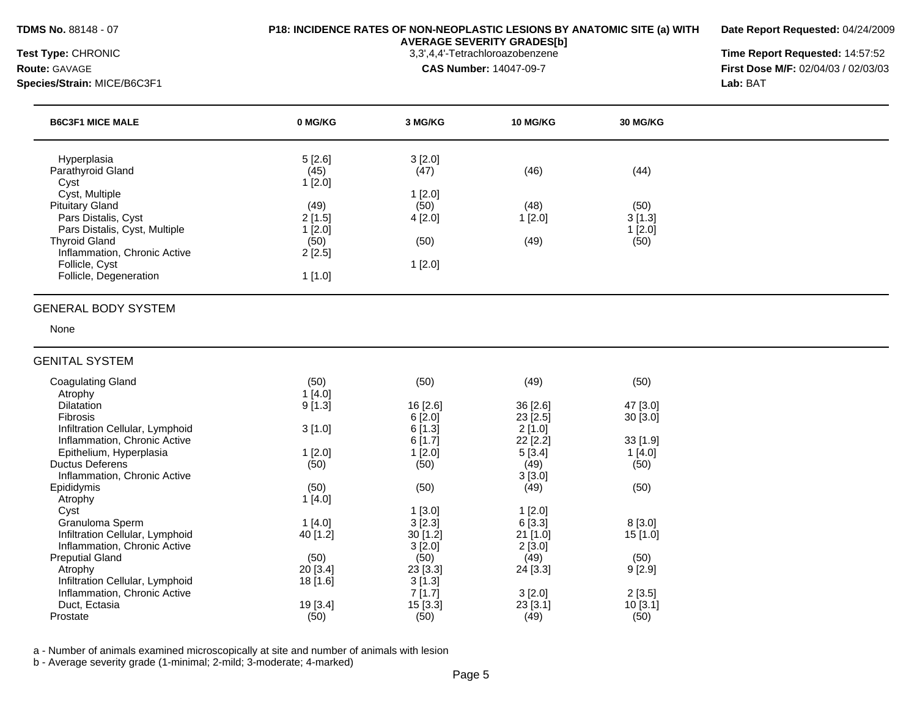**Date Report Requested:** 04/24/2009

**Species/Strain:** MICE/B6C3F1 **Lab:** BAT

**AVERAGE SEVERITY GRADES[b]**

**Test Type:** CHRONIC 3,3',4,4'-Tetrachloroazobenzene **Time Report Requested:** 14:57:52 **Route:** GAVAGE **CAS Number:** 14047-09-7 **First Dose M/F:** 02/04/03 / 02/03/03

| <b>B6C3F1 MICE MALE</b>       | 0 MG/KG | 3 MG/KG | <b>10 MG/KG</b> | 30 MG/KG |
|-------------------------------|---------|---------|-----------------|----------|
| Hyperplasia                   | 5[2.6]  | 3[2.0]  |                 |          |
| Parathyroid Gland             | (45)    | (47)    | (46)            | (44)     |
| Cyst                          | 1[2.0]  |         |                 |          |
| Cyst, Multiple                |         | [2.0]   |                 |          |
| <b>Pituitary Gland</b>        | (49)    | (50)    | (48)            | (50)     |
| Pars Distalis, Cyst           | 2[1.5]  | 4[2.0]  | [2.0]           | 3[1.3]   |
| Pars Distalis, Cyst, Multiple | 1[2.0]  |         |                 | [2.0]    |
| <b>Thyroid Gland</b>          | (50)    | (50)    | (49)            | (50)     |
| Inflammation, Chronic Active  | 2[2.5]  |         |                 |          |
| Follicle, Cyst                |         | 1 [2.0] |                 |          |
| Follicle, Degeneration        | 1[1.0]  |         |                 |          |

#### GENERAL BODY SYSTEM

None

| <b>GENITAL SYSTEM</b>               |                 |            |            |            |
|-------------------------------------|-----------------|------------|------------|------------|
| <b>Coagulating Gland</b><br>Atrophy | (50)<br>1 [4.0] | (50)       | (49)       | (50)       |
| <b>Dilatation</b>                   | 9[1.3]          | 16 [2.6]   | $36$ [2.6] | 47 [3.0]   |
| <b>Fibrosis</b>                     |                 | 6[2.0]     | $23$ [2.5] | 30[3.0]    |
| Infiltration Cellular, Lymphoid     | 3[1.0]          | 6[1.3]     | 2[1.0]     |            |
| Inflammation, Chronic Active        |                 | 6[1.7]     | $22$ [2.2] | $33$ [1.9] |
| Epithelium, Hyperplasia             | $1$ [2.0]       | $1$ [2.0]  | 5[3.4]     | $1$ [4.0]  |
| <b>Ductus Deferens</b>              | (50)            | (50)       | (49)       | (50)       |
| Inflammation, Chronic Active        |                 |            | 3[3.0]     |            |
| Epididymis                          | (50)            | (50)       | (49)       | (50)       |
| Atrophy                             | 1[4.0]          |            |            |            |
| Cyst                                |                 | $1$ [3.0]  | 1[2.0]     |            |
| Granuloma Sperm                     | $1$ [4.0]       | $3$ [2.3]  | 6[3.3]     | $8$ [3.0]  |
| Infiltration Cellular, Lymphoid     | 40 [1.2]        | $30$ [1.2] | 21 [1.0]   | $15$ [1.0] |
| Inflammation, Chronic Active        |                 | 3[2.0]     | 2[3.0]     |            |
| <b>Preputial Gland</b>              | (50)            | (50)       | (49)       | (50)       |
| Atrophy                             | 20 [3.4]        | $23$ [3.3] | 24 [3.3]   | 9[2.9]     |
| Infiltration Cellular, Lymphoid     | 18 [1.6]        | 3[1.3]     |            |            |
| Inflammation, Chronic Active        |                 | 7[1.7]     | 3 [2.0]    | $2$ [3.5]  |
| Duct, Ectasia                       | 19[3.4]         | 15[3.3]    | $23$ [3.1] | 10 [3.1]   |
| Prostate                            | (50)            | (50)       | (49)       | (50)       |

a - Number of animals examined microscopically at site and number of animals with lesion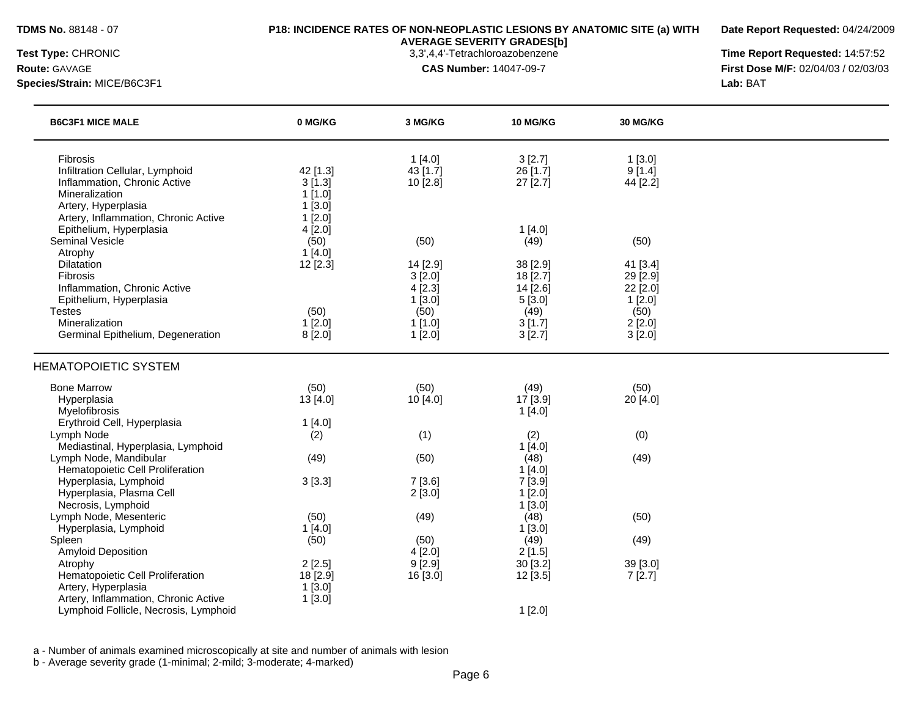**Date Report Requested:** 04/24/2009

**Species/Strain:** MICE/B6C3F1 **Lab:** BAT

**AVERAGE SEVERITY GRADES[b]**

**Test Type:** CHRONIC 3,3',4,4'-Tetrachloroazobenzene **Time Report Requested:** 14:57:52 **Route:** GAVAGE **CAS Number:** 14047-09-7 **First Dose M/F:** 02/04/03 / 02/03/03

| <b>B6C3F1 MICE MALE</b>                                                                                              | 0 MG/KG                                | 3 MG/KG                        | <b>10 MG/KG</b>                    | 30 MG/KG                         |  |
|----------------------------------------------------------------------------------------------------------------------|----------------------------------------|--------------------------------|------------------------------------|----------------------------------|--|
| Fibrosis<br>Infiltration Cellular, Lymphoid<br>Inflammation, Chronic Active<br>Mineralization<br>Artery, Hyperplasia | 42 [1.3]<br>3[1.3]<br>1[1.0]<br>1[3.0] | 1[4.0]<br>43 [1.7]<br>10 [2.8] | 3[2.7]<br>26 [1.7]<br>27 [2.7]     | 1[3.0]<br>9[1.4]<br>44 [2.2]     |  |
| Artery, Inflammation, Chronic Active<br>Epithelium, Hyperplasia<br><b>Seminal Vesicle</b>                            | 1[2.0]<br>4[2.0]<br>(50)               | (50)                           | 1[4.0]<br>(49)                     | (50)                             |  |
| Atrophy<br>Dilatation<br>Fibrosis<br>Inflammation, Chronic Active                                                    | 1[4.0]<br>12[2.3]                      | 14 [2.9]<br>3[2.0]<br>4 [2.3]  | 38 [2.9]<br>18 [2.7]<br>$14$ [2.6] | 41 [3.4]<br>29 [2.9]<br>22 [2.0] |  |
| Epithelium, Hyperplasia<br><b>Testes</b><br>Mineralization                                                           | (50)<br>1[2.0]                         | 1[3.0]<br>(50)<br>1[1.0]       | 5[3.0]<br>(49)<br>3[1.7]           | 1[2.0]<br>(50)<br>2[2.0]         |  |
| Germinal Epithelium, Degeneration<br><b>HEMATOPOIETIC SYSTEM</b>                                                     | 8[2.0]                                 | 1[2.0]                         | 3[2.7]                             | 3[2.0]                           |  |
| <b>Bone Marrow</b><br>Hyperplasia<br>Myelofibrosis                                                                   | (50)<br>13 [4.0]                       | (50)<br>10 [4.0]               | (49)<br>17 [3.9]<br>1[4.0]         | (50)<br>20 [4.0]                 |  |
| Erythroid Cell, Hyperplasia<br>Lymph Node<br>Mediastinal, Hyperplasia, Lymphoid                                      | 1[4.0]<br>(2)                          | (1)                            | (2)<br>1[4.0]                      | (0)                              |  |
| Lymph Node, Mandibular<br>Hematopoietic Cell Proliferation<br>Hyperplasia, Lymphoid                                  | (49)<br>3[3.3]                         | (50)<br>7[3.6]                 | (48)<br>1[4.0]<br>7[3.9]           | (49)                             |  |
| Hyperplasia, Plasma Cell<br>Necrosis, Lymphoid<br>Lymph Node, Mesenteric                                             | (50)                                   | 2[3.0]<br>(49)                 | 1[2.0]<br>1[3.0]<br>(48)           | (50)                             |  |
| Hyperplasia, Lymphoid<br>Spleen<br>Amyloid Deposition                                                                | 1[4.0]<br>(50)                         | (50)<br>4 [2.0]                | 1[3.0]<br>(49)<br>2[1.5]           | (49)                             |  |
| Atrophy<br>Hematopoietic Cell Proliferation<br>Artery, Hyperplasia                                                   | 2[2.5]<br>18 [2.9]<br>1[3.0]           | 9[2.9]<br>16 [3.0]             | 30 [3.2]<br>12[3.5]                | 39 [3.0]<br>7[2.7]               |  |
| Artery, Inflammation, Chronic Active<br>Lymphoid Follicle, Necrosis, Lymphoid                                        | 1[3.0]                                 |                                | 1[2.0]                             |                                  |  |

a - Number of animals examined microscopically at site and number of animals with lesion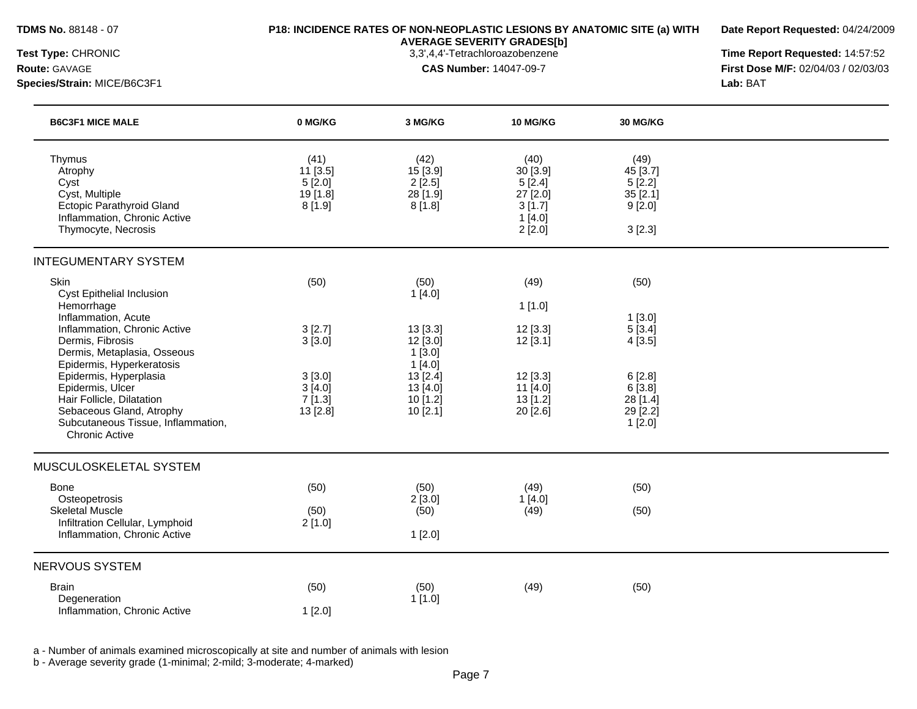**Date Report Requested:** 04/24/2009

# **AVERAGE SEVERITY GRADES[b]**

**Test Type:** CHRONIC 3,3',4,4'-Tetrachloroazobenzene **Time Report Requested:** 14:57:52 **Route:** GAVAGE **CAS Number:** 14047-09-7 **First Dose M/F:** 02/04/03 / 02/03/03 **Species/Strain:** MICE/B6C3F1 **Lab:** BAT

| <b>B6C3F1 MICE MALE</b>                                                                                                                                                                                                                                                                                                                                             | 0 MG/KG                                                            | 3 MG/KG                                                                                                       | <b>10 MG/KG</b>                                                                           | <b>30 MG/KG</b>                                                                          |  |
|---------------------------------------------------------------------------------------------------------------------------------------------------------------------------------------------------------------------------------------------------------------------------------------------------------------------------------------------------------------------|--------------------------------------------------------------------|---------------------------------------------------------------------------------------------------------------|-------------------------------------------------------------------------------------------|------------------------------------------------------------------------------------------|--|
| Thymus<br>Atrophy<br>Cyst<br>Cyst, Multiple<br>Ectopic Parathyroid Gland<br>Inflammation, Chronic Active<br>Thymocyte, Necrosis                                                                                                                                                                                                                                     | (41)<br>11 [3.5]<br>5[2.0]<br>19 [1.8]<br>8[1.9]                   | (42)<br>15 [3.9]<br>2[2.5]<br>28 [1.9]<br>8[1.8]                                                              | (40)<br>30 [3.9]<br>5[2.4]<br>27 [2.0]<br>3[1.7]<br>1[4.0]<br>2[2.0]                      | (49)<br>45 [3.7]<br>5[2.2]<br>35[2.1]<br>9[2.0]<br>3[2.3]                                |  |
| <b>INTEGUMENTARY SYSTEM</b>                                                                                                                                                                                                                                                                                                                                         |                                                                    |                                                                                                               |                                                                                           |                                                                                          |  |
| Skin<br><b>Cyst Epithelial Inclusion</b><br>Hemorrhage<br>Inflammation, Acute<br>Inflammation, Chronic Active<br>Dermis, Fibrosis<br>Dermis, Metaplasia, Osseous<br>Epidermis, Hyperkeratosis<br>Epidermis, Hyperplasia<br>Epidermis, Ulcer<br>Hair Follicle, Dilatation<br>Sebaceous Gland, Atrophy<br>Subcutaneous Tissue, Inflammation,<br><b>Chronic Active</b> | (50)<br>3[2.7]<br>3[3.0]<br>3[3.0]<br>3[4.0]<br>7[1.3]<br>13 [2.8] | (50)<br>1[4.0]<br>13[3.3]<br>12 [3.0]<br>$1$ [3.0]<br>1[4.0]<br>13 [2.4]<br>13 [4.0]<br>$10$ [1.2]<br>10[2.1] | (49)<br>1[1.0]<br>$12$ [3.3]<br>12[3.1]<br>12 [3.3]<br>11 [4.0]<br>$13$ [1.2]<br>20 [2.6] | (50)<br>1[3.0]<br>5[3.4]<br>4[3.5]<br>6[2.8]<br>6[3.8]<br>28 [1.4]<br>29 [2.2]<br>1[2.0] |  |
| MUSCULOSKELETAL SYSTEM                                                                                                                                                                                                                                                                                                                                              |                                                                    |                                                                                                               |                                                                                           |                                                                                          |  |
| <b>Bone</b><br>Osteopetrosis<br><b>Skeletal Muscle</b><br>Infiltration Cellular, Lymphoid<br>Inflammation, Chronic Active                                                                                                                                                                                                                                           | (50)<br>(50)<br>2[1.0]                                             | (50)<br>2[3.0]<br>(50)<br>1[2.0]                                                                              | (49)<br>1[4.0]<br>(49)                                                                    | (50)<br>(50)                                                                             |  |
| <b>NERVOUS SYSTEM</b>                                                                                                                                                                                                                                                                                                                                               |                                                                    |                                                                                                               |                                                                                           |                                                                                          |  |
| <b>Brain</b><br>Degeneration                                                                                                                                                                                                                                                                                                                                        | (50)                                                               | (50)<br>1[1.0]                                                                                                | (49)                                                                                      | (50)                                                                                     |  |
| Inflammation, Chronic Active                                                                                                                                                                                                                                                                                                                                        | 1[2.0]                                                             |                                                                                                               |                                                                                           |                                                                                          |  |

a - Number of animals examined microscopically at site and number of animals with lesion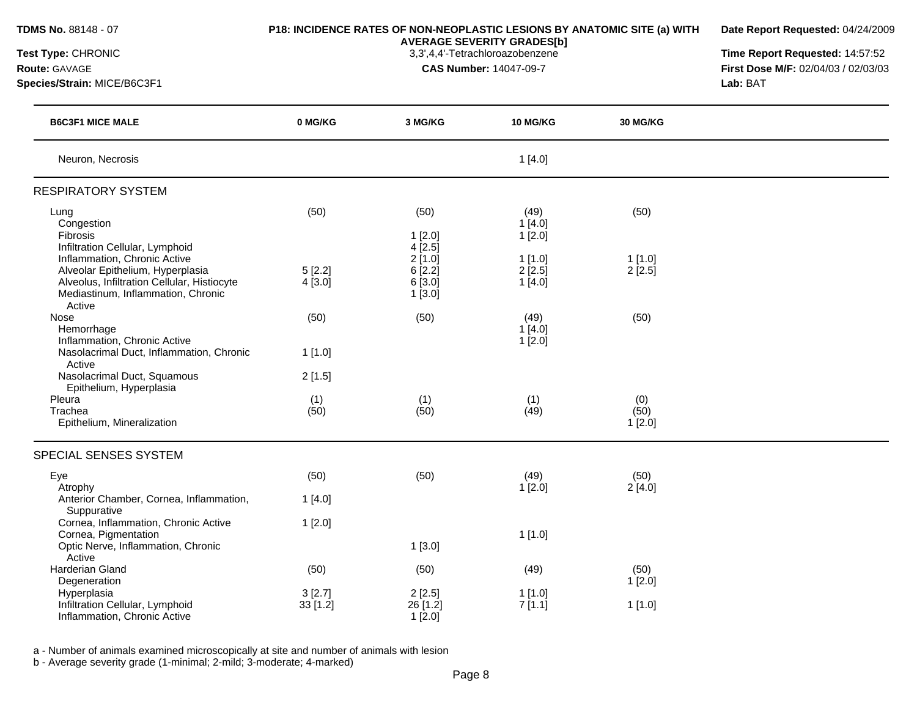| TDMS No. 88148 - 07<br>Test Type: CHRONIC<br>Route: GAVAGE<br>Species/Strain: MICE/B6C3F1                                                                       | P18: INCIDENCE RATES OF NON-NEOPLASTIC LESIONS BY ANATOMIC SITE (a) WITH | Date Report Requested: 04/24/2009<br>Time Report Requested: 14:57:52<br>First Dose M/F: 02/04/03 / 02/03/03<br>Lab: BAT |                                   |                          |  |
|-----------------------------------------------------------------------------------------------------------------------------------------------------------------|--------------------------------------------------------------------------|-------------------------------------------------------------------------------------------------------------------------|-----------------------------------|--------------------------|--|
| <b>B6C3F1 MICE MALE</b>                                                                                                                                         | 0 MG/KG                                                                  | 3 MG/KG                                                                                                                 | 10 MG/KG                          | 30 MG/KG                 |  |
| Neuron, Necrosis                                                                                                                                                |                                                                          |                                                                                                                         | 1[4.0]                            |                          |  |
| <b>RESPIRATORY SYSTEM</b>                                                                                                                                       |                                                                          |                                                                                                                         |                                   |                          |  |
| Lung<br>Congestion<br>Fibrosis<br>Infiltration Cellular, Lymphoid                                                                                               | (50)                                                                     | (50)<br>1[2.0]<br>4 [2.5]                                                                                               | (49)<br>1[4.0]<br>1[2.0]          | (50)                     |  |
| Inflammation, Chronic Active<br>Alveolar Epithelium, Hyperplasia<br>Alveolus, Infiltration Cellular, Histiocyte<br>Mediastinum, Inflammation, Chronic<br>Active | 5[2.2]<br>$4$ [3.0]                                                      | 2[1.0]<br>6[2.2]<br>6 [3.0]<br>1[3.0]                                                                                   | 1[1.0]<br>$2$ [ $2.5$ ]<br>1[4.0] | 1[1.0]<br>2[2.5]         |  |
| Nose<br>Hemorrhage<br>Inflammation, Chronic Active<br>Nasolacrimal Duct, Inflammation, Chronic<br>Active<br>Nasolacrimal Duct, Squamous                         | (50)<br>1[1.0]<br>2[1.5]                                                 | (50)                                                                                                                    | (49)<br>1[4.0]<br>1[2.0]          | (50)                     |  |
| Epithelium, Hyperplasia<br>Pleura<br>Trachea<br>Epithelium, Mineralization                                                                                      | (1)<br>(50)                                                              | (1)<br>(50)                                                                                                             | (1)<br>(49)                       | (0)<br>(50)<br>1[2.0]    |  |
| SPECIAL SENSES SYSTEM                                                                                                                                           |                                                                          |                                                                                                                         |                                   |                          |  |
| Eye<br>Atrophy<br>Anterior Chamber, Cornea, Inflammation,                                                                                                       | (50)<br>1[4.0]                                                           | (50)                                                                                                                    | (49)<br>1[2.0]                    | (50)<br>2[4.0]           |  |
| Suppurative<br>Cornea, Inflammation, Chronic Active<br>Cornea, Pigmentation<br>Optic Nerve, Inflammation, Chronic<br>Active                                     | 1[2.0]                                                                   | 1[3.0]                                                                                                                  | 1[1.0]                            |                          |  |
| <b>Harderian Gland</b><br>Degeneration<br>Hyperplasia<br>Infiltration Cellular, Lymphoid<br>Inflammation, Chronic Active                                        | (50)<br>3[2.7]<br>33[1.2]                                                | (50)<br>2[2.5]<br>26 [1.2]<br>1[2.0]                                                                                    | (49)<br>1[1.0]<br>7[1.1]          | (50)<br>1[2.0]<br>1[1.0] |  |

a - Number of animals examined microscopically at site and number of animals with lesion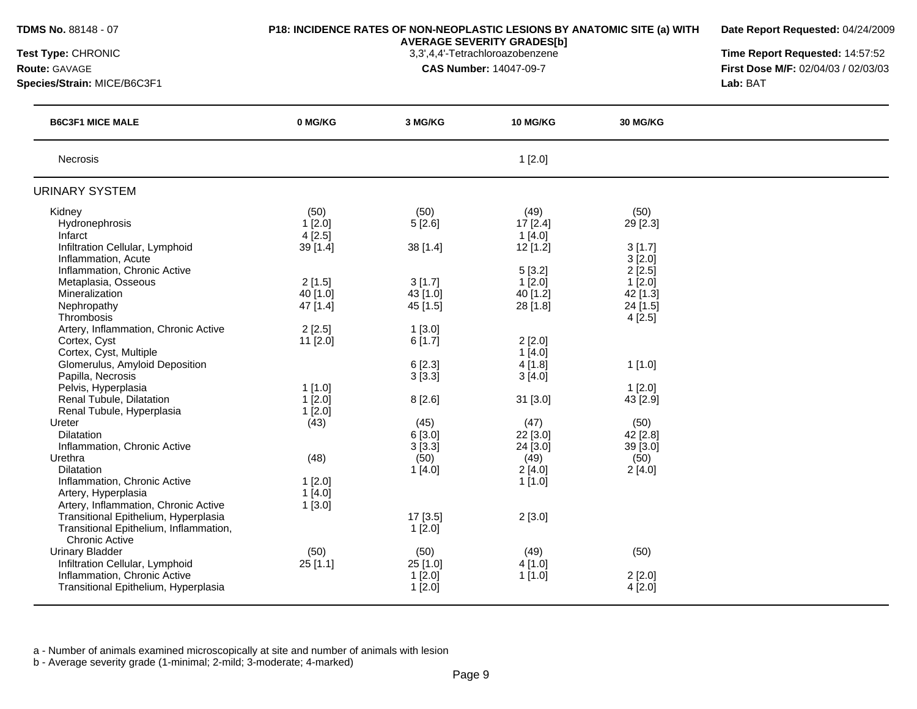| Test Type: CHRONIC<br><b>Route: GAVAGE</b><br>Species/Strain: MICE/B6C3F1 |           | <b>AVERAGE SEVERITY GRADES[b]</b><br>3,3',4,4'-Tetrachloroazobenzene<br><b>CAS Number: 14047-09-7</b> |                      |                      | Time Report Requested: 14:57:52<br>First Dose M/F: 02/04/03 / 02/03/03<br>Lab: BAT |
|---------------------------------------------------------------------------|-----------|-------------------------------------------------------------------------------------------------------|----------------------|----------------------|------------------------------------------------------------------------------------|
| <b>B6C3F1 MICE MALE</b>                                                   | 0 MG/KG   | 3 MG/KG                                                                                               | 10 MG/KG             | 30 MG/KG             |                                                                                    |
| <b>Necrosis</b>                                                           |           |                                                                                                       | 1[2.0]               |                      |                                                                                    |
| URINARY SYSTEM                                                            |           |                                                                                                       |                      |                      |                                                                                    |
| Kidney                                                                    | (50)      | (50)                                                                                                  | (49)                 | (50)                 |                                                                                    |
| Hydronephrosis                                                            | $1$ [2.0] | 5[2.6]                                                                                                | $17$ [2.4]           | 29 [2.3]             |                                                                                    |
| Infarct                                                                   | 4[2.5]    |                                                                                                       | 1[4.0]               |                      |                                                                                    |
| Infiltration Cellular, Lymphoid                                           | 39 [1.4]  | 38 [1.4]                                                                                              | $12$ [1.2]           | 3[1.7]               |                                                                                    |
| Inflammation, Acute<br>Inflammation, Chronic Active                       |           |                                                                                                       |                      | 3[2.0]<br>2[2.5]     |                                                                                    |
| Metaplasia, Osseous                                                       | 2[1.5]    | 3[1.7]                                                                                                | 5[3.2]<br>$1$ [2.0]  | $1$ [2.0]            |                                                                                    |
| Mineralization                                                            | 40 [1.0]  | 43 [1.0]                                                                                              | 40 [1.2]             | 42 [1.3]             |                                                                                    |
| Nephropathy                                                               | 47 [1.4]  | 45 [1.5]                                                                                              | 28 [1.8]             | 24 [1.5]             |                                                                                    |
| Thrombosis                                                                |           |                                                                                                       |                      | 4[2.5]               |                                                                                    |
| Artery, Inflammation, Chronic Active                                      | 2[2.5]    | 1[3.0]                                                                                                |                      |                      |                                                                                    |
| Cortex, Cyst                                                              | 11 [2.0]  | 6[1.7]                                                                                                | 2[2.0]               |                      |                                                                                    |
| Cortex, Cyst, Multiple                                                    |           |                                                                                                       | 1[4.0]               |                      |                                                                                    |
| Glomerulus, Amyloid Deposition                                            |           | 6[2.3]                                                                                                | 4[1.8]               | 1[1.0]               |                                                                                    |
| Papilla, Necrosis                                                         |           | 3[3.3]                                                                                                | 3[4.0]               |                      |                                                                                    |
| Pelvis, Hyperplasia                                                       | $1$ [1.0] |                                                                                                       |                      | $1$ [2.0]            |                                                                                    |
| Renal Tubule, Dilatation                                                  | $1$ [2.0] | 8[2.6]                                                                                                | 31 [3.0]             | 43 [2.9]             |                                                                                    |
| Renal Tubule, Hyperplasia                                                 | $1$ [2.0] |                                                                                                       |                      |                      |                                                                                    |
| Ureter                                                                    | (43)      | (45)                                                                                                  | (47)                 | (50)                 |                                                                                    |
| <b>Dilatation</b><br>Inflammation, Chronic Active                         |           | 6[3.0]<br>3[3.3]                                                                                      | 22 [3.0]<br>24 [3.0] | 42 [2.8]<br>39 [3.0] |                                                                                    |
| Urethra                                                                   | (48)      | (50)                                                                                                  | (49)                 | (50)                 |                                                                                    |
| <b>Dilatation</b>                                                         |           | 1[4.0]                                                                                                | 2[4.0]               | 2[4.0]               |                                                                                    |
| Inflammation, Chronic Active                                              | $1$ [2.0] |                                                                                                       | $1$ [1.0]            |                      |                                                                                    |
| Artery, Hyperplasia                                                       | 1[4.0]    |                                                                                                       |                      |                      |                                                                                    |
| Artery, Inflammation, Chronic Active                                      | 1[3.0]    |                                                                                                       |                      |                      |                                                                                    |
| Transitional Epithelium, Hyperplasia                                      |           | 17 [3.5]                                                                                              | 2[3.0]               |                      |                                                                                    |
| Transitional Epithelium, Inflammation,                                    |           | 1[2.0]                                                                                                |                      |                      |                                                                                    |
| <b>Chronic Active</b>                                                     |           |                                                                                                       |                      |                      |                                                                                    |
| <b>Urinary Bladder</b>                                                    | (50)      | (50)                                                                                                  | (49)                 | (50)                 |                                                                                    |
| Infiltration Cellular, Lymphoid                                           | 25[1.1]   | 25 [1.0]                                                                                              | 4 [1.0]              |                      |                                                                                    |
| Inflammation, Chronic Active                                              |           | $1$ [2.0]                                                                                             | 1[1.0]               | $2$ [2.0]            |                                                                                    |
| Transitional Epithelium, Hyperplasia                                      |           | 1[2.0]                                                                                                |                      | 4[2.0]               |                                                                                    |

**Date Report Requested:** 04/24/2009

**TDMS No.** 88148 - 07 **P18: INCIDENCE RATES OF NON-NEOPLASTIC LESIONS BY ANATOMIC SITE (a) WITH**

a - Number of animals examined microscopically at site and number of animals with lesion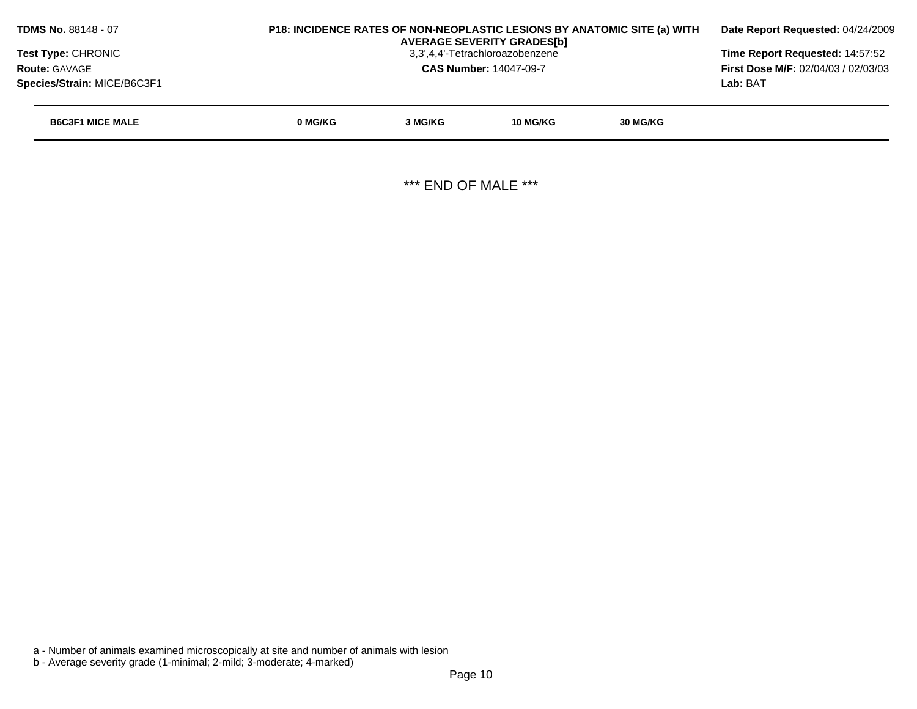|         | Date Report Requested: 04/24/2009          |          |                                                                                                       |                                                                          |
|---------|--------------------------------------------|----------|-------------------------------------------------------------------------------------------------------|--------------------------------------------------------------------------|
|         |                                            |          |                                                                                                       | Time Report Requested: 14:57:52                                          |
|         | <b>First Dose M/F: 02/04/03 / 02/03/03</b> |          |                                                                                                       |                                                                          |
|         |                                            |          |                                                                                                       | Lab: BAT                                                                 |
| 0 MG/KG | 3 MG/KG                                    | 10 MG/KG | 30 MG/KG                                                                                              |                                                                          |
|         |                                            |          |                                                                                                       |                                                                          |
|         |                                            |          | <b>AVERAGE SEVERITY GRADESIbI</b><br>3,3',4,4'-Tetrachloroazobenzene<br><b>CAS Number: 14047-09-7</b> | P18: INCIDENCE RATES OF NON-NEOPLASTIC LESIONS BY ANATOMIC SITE (a) WITH |

\*\*\* END OF MALE \*\*\*

a - Number of animals examined microscopically at site and number of animals with lesion

b - Average severity grade (1-minimal; 2-mild; 3-moderate; 4-marked)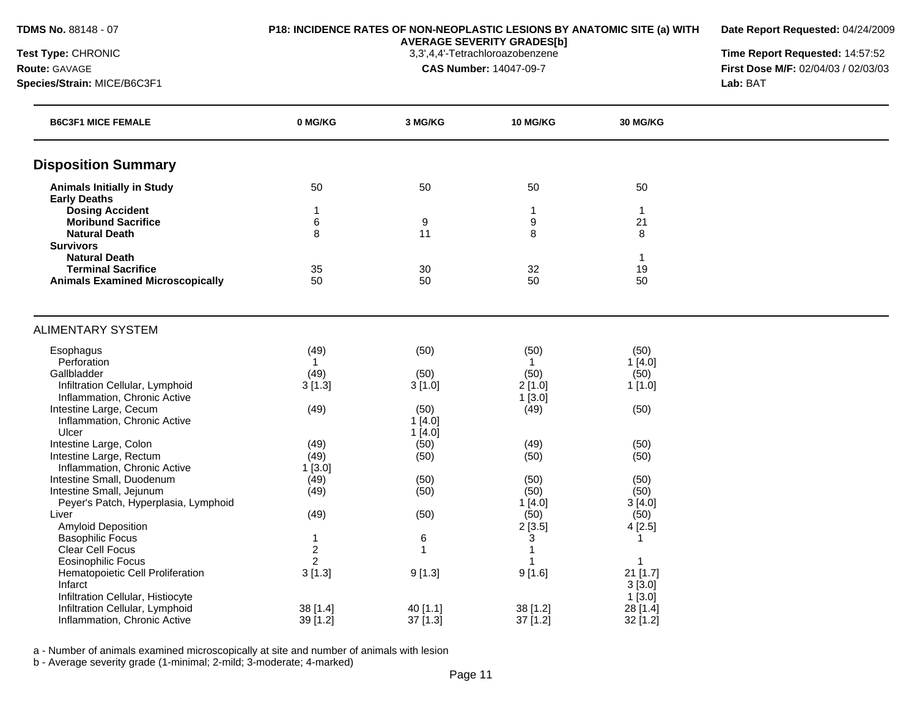**Date Report Requested:** 04/24/2009

**AVERAGE SEVERITY GRADES[b]**

**Test Type:** CHRONIC 3,3',4,4'-Tetrachloroazobenzene **Time Report Requested:** 14:57:52 **Route:** GAVAGE **CAS Number:** 14047-09-7 **First Dose M/F:** 02/04/03 / 02/03/03 **Species/Strain:** MICE/B6C3F1 **Lab:** BAT

| <b>B6C3F1 MICE FEMALE</b>                     | 0 MG/KG                 | 3 MG/KG        | <b>10 MG/KG</b>  | <b>30 MG/KG</b> |  |
|-----------------------------------------------|-------------------------|----------------|------------------|-----------------|--|
| <b>Disposition Summary</b>                    |                         |                |                  |                 |  |
| <b>Animals Initially in Study</b>             | 50                      | 50             | 50               | 50              |  |
| <b>Early Deaths</b>                           |                         |                |                  |                 |  |
| <b>Dosing Accident</b>                        | 1                       |                | 1                | $\mathbf{1}$    |  |
| <b>Moribund Sacrifice</b>                     | $\,6$                   | 9              | 9                | 21              |  |
| <b>Natural Death</b>                          | 8                       | 11             | 8                | 8               |  |
| <b>Survivors</b>                              |                         |                |                  |                 |  |
| <b>Natural Death</b>                          |                         |                |                  | $\mathbf{1}$    |  |
| <b>Terminal Sacrifice</b>                     | 35                      | 30             | 32               | 19              |  |
| <b>Animals Examined Microscopically</b>       | 50                      | 50             | 50               | 50              |  |
| <b>ALIMENTARY SYSTEM</b>                      |                         |                |                  |                 |  |
| Esophagus                                     | (49)                    | (50)           | (50)             | (50)            |  |
| Perforation                                   | $\mathbf{1}$            |                | $\mathbf{1}$     | 1[4.0]          |  |
| Gallbladder                                   | (49)                    | (50)           | (50)             | (50)            |  |
| Infiltration Cellular, Lymphoid               | 3[1.3]                  | 3[1.0]         | 2[1.0]           | 1[1.0]          |  |
| Inflammation, Chronic Active                  |                         |                | 1[3.0]           |                 |  |
| Intestine Large, Cecum                        | (49)                    | (50)           | (49)             | (50)            |  |
| Inflammation, Chronic Active                  |                         | 1[4.0]         |                  |                 |  |
| Ulcer                                         |                         | 1[4.0]         |                  |                 |  |
| Intestine Large, Colon                        | (49)                    | (50)           | (49)             | (50)            |  |
| Intestine Large, Rectum                       | (49)                    | (50)           | (50)             | (50)            |  |
| Inflammation, Chronic Active                  | 1[3.0]                  |                |                  |                 |  |
| Intestine Small, Duodenum                     | (49)                    | (50)           | (50)             | (50)            |  |
| Intestine Small, Jejunum                      | (49)                    | (50)           | (50)             | (50)            |  |
| Peyer's Patch, Hyperplasia, Lymphoid          |                         |                | 1[4.0]           | 3[4.0]          |  |
| Liver                                         | (49)                    | (50)           | (50)             | (50)            |  |
| Amyloid Deposition<br><b>Basophilic Focus</b> | 1                       | $\,6$          | 2[3.5]           | 4[2.5]<br>1     |  |
| <b>Clear Cell Focus</b>                       | $\overline{\mathbf{c}}$ | $\overline{1}$ | 3<br>$\mathbf 1$ |                 |  |
| <b>Eosinophilic Focus</b>                     | $\overline{2}$          |                |                  | 1               |  |
| Hematopoietic Cell Proliferation              | 3[1.3]                  | 9[1.3]         | 9[1.6]           | $21$ [1.7]      |  |
| Infarct                                       |                         |                |                  | 3[3.0]          |  |
| Infiltration Cellular, Histiocyte             |                         |                |                  | 1[3.0]          |  |
| Infiltration Cellular, Lymphoid               | 38 [1.4]                | 40 [1.1]       | 38 [1.2]         | 28 [1.4]        |  |
| Inflammation, Chronic Active                  | 39 [1.2]                | $37$ [1.3]     | 37 [1.2]         | 32 [1.2]        |  |

a - Number of animals examined microscopically at site and number of animals with lesion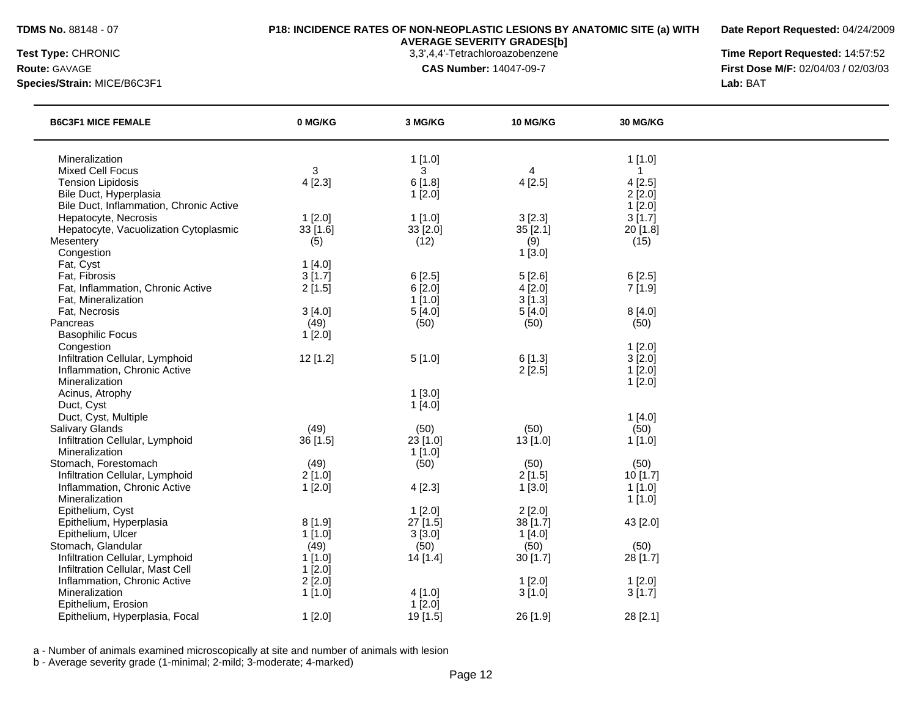**Date Report Requested:** 04/24/2009

**Species/Strain:** MICE/B6C3F1 **Lab:** BAT

**AVERAGE SEVERITY GRADES[b]**

**Test Type:** CHRONIC 3,3',4,4'-Tetrachloroazobenzene **Time Report Requested:** 14:57:52 **Route:** GAVAGE **CAS Number:** 14047-09-7 **First Dose M/F:** 02/04/03 / 02/03/03

| <b>B6C3F1 MICE FEMALE</b>                     | 0 MG/KG  | 3 MG/KG  | 10 MG/KG   | 30 MG/KG            |  |
|-----------------------------------------------|----------|----------|------------|---------------------|--|
| Mineralization                                |          | 1[1.0]   |            | 1[1.0]              |  |
| <b>Mixed Cell Focus</b>                       | 3        | 3        | 4          | $\mathbf{1}$        |  |
| <b>Tension Lipidosis</b>                      | 4[2.3]   | 6[1.8]   | 4[2.5]     | 4[2.5]              |  |
| Bile Duct, Hyperplasia                        |          | 1[2.0]   |            | 2[2.0]              |  |
| Bile Duct, Inflammation, Chronic Active       |          |          |            | 1[2.0]              |  |
| Hepatocyte, Necrosis                          | 1[2.0]   | 1[1.0]   | 3[2.3]     | 3[1.7]              |  |
| Hepatocyte, Vacuolization Cytoplasmic         | 33 [1.6] | 33 [2.0] | 35[2.1]    | 20 [1.8]            |  |
| Mesentery                                     | (5)      | (12)     | (9)        | (15)                |  |
| Congestion                                    |          |          | 1[3.0]     |                     |  |
| Fat, Cyst                                     | 1[4.0]   |          |            |                     |  |
| Fat, Fibrosis                                 | 3[1.7]   | 6[2.5]   | 5[2.6]     | 6[2.5]              |  |
| Fat, Inflammation, Chronic Active             | 2[1.5]   | 6[2.0]   | 4[2.0]     | 7[1.9]              |  |
| Fat, Mineralization                           |          | 1[1.0]   | 3[1.3]     |                     |  |
| Fat, Necrosis                                 | 3[4.0]   | 5[4.0]   | 5[4.0]     | 8[4.0]              |  |
| Pancreas                                      | (49)     | (50)     | (50)       | (50)                |  |
| <b>Basophilic Focus</b>                       | 1[2.0]   |          |            |                     |  |
| Congestion<br>Infiltration Cellular, Lymphoid | 12 [1.2] | 5[1.0]   | 6[1.3]     | $1$ [2.0]<br>3[2.0] |  |
| Inflammation, Chronic Active                  |          |          | 2[2.5]     | 1[2.0]              |  |
| Mineralization                                |          |          |            | 1[2.0]              |  |
| Acinus, Atrophy                               |          | 1[3.0]   |            |                     |  |
| Duct, Cyst                                    |          | 1[4.0]   |            |                     |  |
| Duct, Cyst, Multiple                          |          |          |            | 1[4.0]              |  |
| Salivary Glands                               | (49)     | (50)     | (50)       | (50)                |  |
| Infiltration Cellular, Lymphoid               | 36 [1.5] | 23 [1.0] | $13$ [1.0] | 1[1.0]              |  |
| Mineralization                                |          | 1[1.0]   |            |                     |  |
| Stomach, Forestomach                          | (49)     | (50)     | (50)       | (50)                |  |
| Infiltration Cellular, Lymphoid               | 2[1.0]   |          | 2[1.5]     | 10 [1.7]            |  |
| Inflammation, Chronic Active                  | 1[2.0]   | 4[2.3]   | 1[3.0]     | 1[1.0]              |  |
| Mineralization                                |          |          |            | 1[1.0]              |  |
| Epithelium, Cyst                              |          | 1[2.0]   | 2[2.0]     |                     |  |
| Epithelium, Hyperplasia                       | 8[1.9]   | 27 [1.5] | 38 [1.7]   | 43 [2.0]            |  |
| Epithelium, Ulcer                             | 1[1.0]   | 3[3.0]   | 1[4.0]     |                     |  |
| Stomach, Glandular                            | (49)     | (50)     | (50)       | (50)                |  |
| Infiltration Cellular, Lymphoid               | 1[1.0]   | 14[1.4]  | 30[1.7]    | 28 [1.7]            |  |
| Infiltration Cellular, Mast Cell              | 1[2.0]   |          |            |                     |  |
| Inflammation, Chronic Active                  | 2[2.0]   |          | 1[2.0]     | 1[2.0]              |  |
| Mineralization                                | 1[1.0]   | 4[1.0]   | 3[1.0]     | 3[1.7]              |  |
| Epithelium, Erosion                           |          | 1[2.0]   |            |                     |  |
| Epithelium, Hyperplasia, Focal                | 1[2.0]   | 19 [1.5] | 26 [1.9]   | 28 [2.1]            |  |

a - Number of animals examined microscopically at site and number of animals with lesion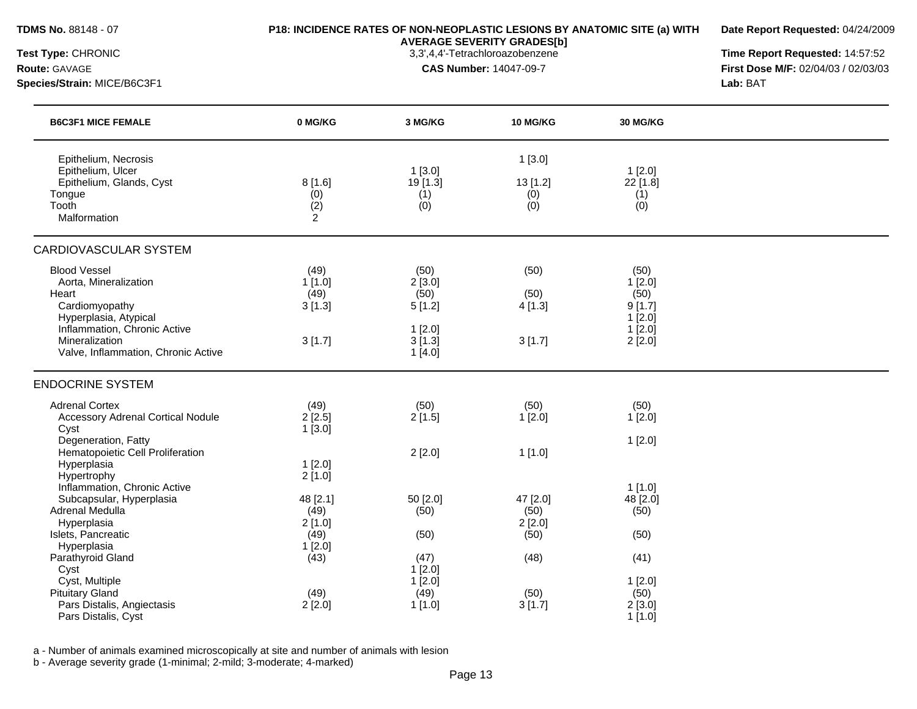**Date Report Requested:** 04/24/2009

**AVERAGE SEVERITY GRADES[b]**

**Test Type:** CHRONIC 3,3',4,4'-Tetrachloroazobenzene **Time Report Requested:** 14:57:52 **Route:** GAVAGE **CAS Number:** 14047-09-7 **First Dose M/F:** 02/04/03 / 02/03/03 **Species/Strain:** MICE/B6C3F1 **Lab:** BAT

| <b>B6C3F1 MICE FEMALE</b>                                                                                                                                                                 | 0 MG/KG                                    | 3 MG/KG                                                        | <b>10 MG/KG</b>                    | <b>30 MG/KG</b>                                                   |  |
|-------------------------------------------------------------------------------------------------------------------------------------------------------------------------------------------|--------------------------------------------|----------------------------------------------------------------|------------------------------------|-------------------------------------------------------------------|--|
| Epithelium, Necrosis<br>Epithelium, Ulcer<br>Epithelium, Glands, Cyst<br>Tongue<br>Tooth<br>Malformation                                                                                  | 8[1.6]<br>(0)<br>(2)<br>$\overline{2}$     | 1[3.0]<br>19 [1.3]<br>(1)<br>(0)                               | 1[3.0]<br>13 [1.2]<br>(0)<br>(0)   | 1[2.0]<br>22 [1.8]<br>(1)<br>(0)                                  |  |
| <b>CARDIOVASCULAR SYSTEM</b>                                                                                                                                                              |                                            |                                                                |                                    |                                                                   |  |
| <b>Blood Vessel</b><br>Aorta, Mineralization<br>Heart<br>Cardiomyopathy<br>Hyperplasia, Atypical<br>Inflammation, Chronic Active<br>Mineralization<br>Valve, Inflammation, Chronic Active | (49)<br>1[1.0]<br>(49)<br>3[1.3]<br>3[1.7] | (50)<br>2[3.0]<br>(50)<br>5[1.2]<br>1[2.0]<br>3[1.3]<br>1[4.0] | (50)<br>(50)<br>4[1.3]<br>3[1.7]   | (50)<br>1[2.0]<br>(50)<br>9[1.7]<br>$1$ [2.0]<br>1[2.0]<br>2[2.0] |  |
| <b>ENDOCRINE SYSTEM</b>                                                                                                                                                                   |                                            |                                                                |                                    |                                                                   |  |
| <b>Adrenal Cortex</b><br><b>Accessory Adrenal Cortical Nodule</b><br>Cyst<br>Degeneration, Fatty                                                                                          | (49)<br>2[2.5]<br>1[3.0]                   | (50)<br>2[1.5]                                                 | (50)<br>1[2.0]                     | (50)<br>1[2.0]<br>1[2.0]                                          |  |
| Hematopoietic Cell Proliferation<br>Hyperplasia<br>Hypertrophy<br>Inflammation, Chronic Active                                                                                            | 1[2.0]<br>2[1.0]                           | 2[2.0]                                                         | 1[1.0]                             | $1$ [1.0]                                                         |  |
| Subcapsular, Hyperplasia<br>Adrenal Medulla<br>Hyperplasia<br>Islets, Pancreatic                                                                                                          | 48 [2.1]<br>(49)<br>2[1.0]<br>(49)         | 50 [2.0]<br>(50)<br>(50)                                       | 47 [2.0]<br>(50)<br>2[2.0]<br>(50) | 48 [2.0]<br>(50)<br>(50)                                          |  |
| Hyperplasia<br>Parathyroid Gland<br>Cyst                                                                                                                                                  | 1[2.0]<br>(43)                             | (47)<br>1[2.0]                                                 | (48)                               | (41)                                                              |  |
| Cyst, Multiple<br><b>Pituitary Gland</b><br>Pars Distalis, Angiectasis<br>Pars Distalis, Cyst                                                                                             | (49)<br>2[2.0]                             | 1[2.0]<br>(49)<br>1[1.0]                                       | (50)<br>3[1.7]                     | 1[2.0]<br>(50)<br>2[3.0]<br>$1$ [1.0]                             |  |

a - Number of animals examined microscopically at site and number of animals with lesion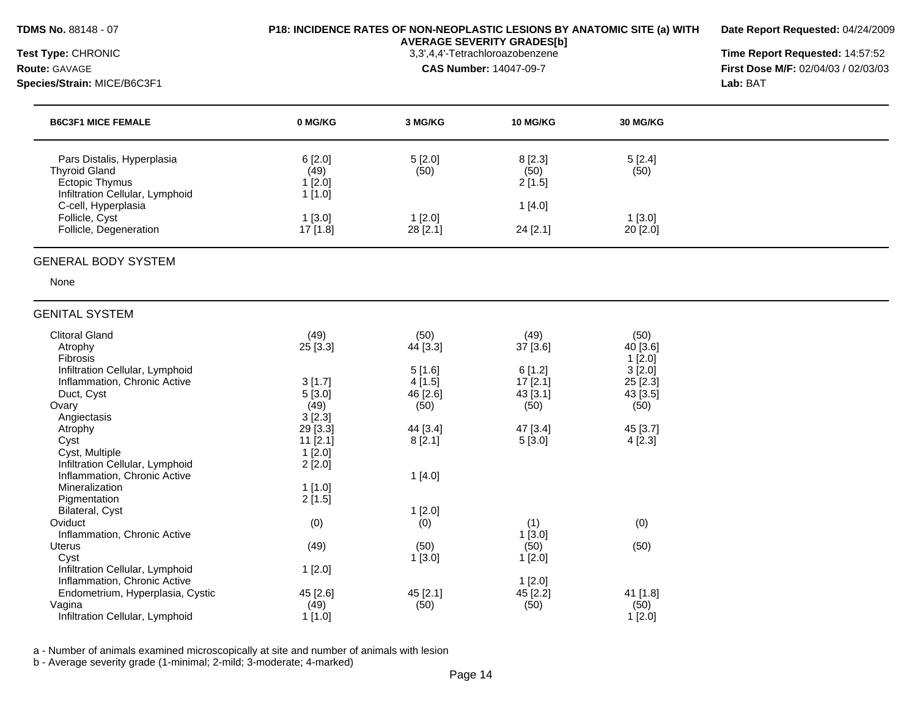#### **TDMS No.** 88148 - 07 **P18: INCIDENCE RATES OF NON-NEOPLASTIC LESIONS BY ANATOMIC SITE (a) WITH AVERAGE SEVERITY GRADES[b]**

**Date Report Requested:** 04/24/2009

**Species/Strain:** MICE/B6C3F1 **Lab:** BAT

Pigmentation

**Test Type:** CHRONIC 3,3',4,4'-Tetrachloroazobenzene **Time Report Requested:** 14:57:52 **Route:** GAVAGE **CAS Number:** 14047-09-7 **First Dose M/F:** 02/04/03 / 02/03/03

| <b>B6C3F1 MICE FEMALE</b>                                       | 0 MG/KG            | 3 MG/KG          | <b>10 MG/KG</b>   | <b>30 MG/KG</b>    |  |
|-----------------------------------------------------------------|--------------------|------------------|-------------------|--------------------|--|
| Pars Distalis, Hyperplasia                                      | 6[2.0]             | 5[2.0]           | 8[2.3]            | 5[2.4]             |  |
| <b>Thyroid Gland</b>                                            | (49)               | (50)             | (50)              | (50)               |  |
| Ectopic Thymus                                                  | 1[2.0]             |                  | 2[1.5]            |                    |  |
| Infiltration Cellular, Lymphoid<br>C-cell, Hyperplasia          | 1[1.0]             |                  | 1[4.0]            |                    |  |
| Follicle, Cyst                                                  | 1[3.0]             | 1[2.0]           |                   | 1[3.0]             |  |
| Follicle, Degeneration                                          | 17 [1.8]           | 28 [2.1]         | 24 [2.1]          | 20 [2.0]           |  |
| <b>GENITAL SYSTEM</b>                                           |                    |                  |                   |                    |  |
| <b>Clitoral Gland</b>                                           | (49)               | (50)             | (49)              | (50)               |  |
| Atrophy                                                         | 25 [3.3]           | 44 [3.3]         | 37 [3.6]          | 40 [3.6]           |  |
| <b>Fibrosis</b>                                                 |                    |                  |                   | 1[2.0]             |  |
| Infiltration Cellular, Lymphoid<br>Inflammation, Chronic Active | 3[1.7]             | 5[1.6]<br>4[1.5] | 6[1.2]<br>17[2.1] | 3[2.0]<br>25 [2.3] |  |
| Duct, Cyst                                                      | 5[3.0]             | 46 [2.6]         | 43 [3.1]          | 43 [3.5]           |  |
| Ovary                                                           | (49)               | (50)             | (50)              | (50)               |  |
| Angiectasis                                                     | 3 [2.3]            |                  |                   |                    |  |
| Atrophy                                                         | 29 [3.3]           | 44 [3.4]         | 47 [3.4]          | 45 [3.7]           |  |
| Cyst<br>Cyst, Multiple                                          | 11 [2.1]<br>1[2.0] | 8[2.1]           | 5[3.0]            | 4[2.3]             |  |
| Infiltration Cellular, Lymphoid                                 | 2[2.0]             |                  |                   |                    |  |

| Inflammation, Chronic Active     |           |          | 1 [3.0]   |           |
|----------------------------------|-----------|----------|-----------|-----------|
| Uterus                           | (49)      | (50)     | (50)      | (50)      |
| Cvst                             |           | 1 [3.0]  | $1$ [2.0] |           |
| Infiltration Cellular, Lymphoid  | $1$ [2.0] |          |           |           |
| Inflammation, Chronic Active     |           |          | $1$ [2.0] |           |
| Endometrium, Hyperplasia, Cystic | 45 [2.6]  | 45 [2.1] | 45 [2.2]  | 41 [1.8]  |
| Vagina                           | (49)      | (50)     | (50)      | (50)      |
| Infiltration Cellular, Lymphoid  | 1 [1.0]   |          |           | $1$ [2.0] |
|                                  |           |          |           |           |

Oviduct (0) (0) (1) (0)

a - Number of animals examined microscopically at site and number of animals with lesion

Inflammation, Chronic Active 1 [4.0]

Bilateral, Cyst 1 [2.0] 1 [2.0] 2 [2.0] 2 [2.0] 2 [2.0] 2 [2.0] 2 [2.0] 2 [2.0] 2 [2.0] 2 [2.0] 2 [2.0] 2 [2.0] 2 [2.0] 2 [2.0] 2 [2.0] 2 [2.0] 2 [2.0] 2 [2.0] 2 [2.0] 2 [2.0] 2 [2.0] 2 [2.0] 2 [2.0] 2 [2.0] 2 [2.0] 2 [2.0

b - Average severity grade (1-minimal; 2-mild; 3-moderate; 4-marked)

Mineralization 1 [1.0]<br>
Pigmentation 2 [1.5]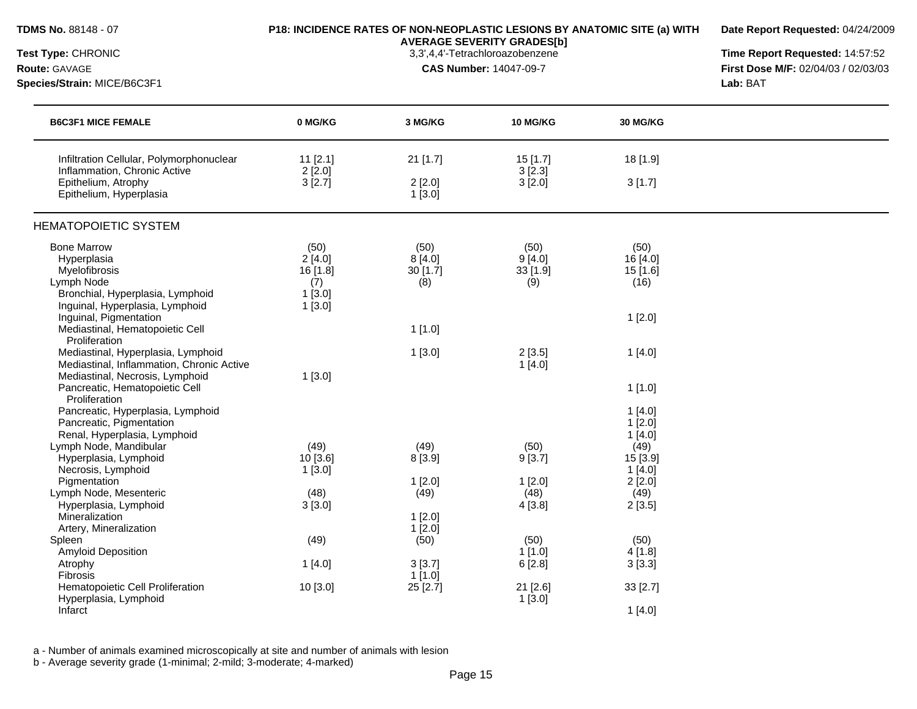| TDMS No. 88148 - 07<br>Test Type: CHRONIC                                                                                                                                                                                                 | P18: INCIDENCE RATES OF NON-NEOPLASTIC LESIONS BY ANATOMIC SITE (a) WITH | Date Report Requested: 04/24/2009<br>Time Report Requested: 14:57:52 |                                            |                                                                                      |                                     |
|-------------------------------------------------------------------------------------------------------------------------------------------------------------------------------------------------------------------------------------------|--------------------------------------------------------------------------|----------------------------------------------------------------------|--------------------------------------------|--------------------------------------------------------------------------------------|-------------------------------------|
|                                                                                                                                                                                                                                           |                                                                          |                                                                      |                                            |                                                                                      |                                     |
| <b>Route: GAVAGE</b>                                                                                                                                                                                                                      |                                                                          |                                                                      | <b>CAS Number: 14047-09-7</b>              |                                                                                      | First Dose M/F: 02/04/03 / 02/03/03 |
| Species/Strain: MICE/B6C3F1                                                                                                                                                                                                               |                                                                          |                                                                      |                                            |                                                                                      | Lab: BAT                            |
| <b>B6C3F1 MICE FEMALE</b>                                                                                                                                                                                                                 | 0 MG/KG                                                                  | 3 MG/KG                                                              | 10 MG/KG                                   | 30 MG/KG                                                                             |                                     |
| Infiltration Cellular, Polymorphonuclear<br>Inflammation, Chronic Active<br>Epithelium, Atrophy<br>Epithelium, Hyperplasia                                                                                                                | $11$ [2.1]<br>$2$ [2.0]<br>3[2.7]                                        | 21 [1.7]<br>2[2.0]<br>1[3.0]                                         | 15[1.7]<br>$3$ [2.3]<br>3[2.0]             | 18 [1.9]<br>3[1.7]                                                                   |                                     |
| <b>HEMATOPOIETIC SYSTEM</b>                                                                                                                                                                                                               |                                                                          |                                                                      |                                            |                                                                                      |                                     |
| <b>Bone Marrow</b><br>Hyperplasia<br>Myelofibrosis<br>Lymph Node<br>Bronchial, Hyperplasia, Lymphoid<br>Inguinal, Hyperplasia, Lymphoid                                                                                                   | (50)<br>2[4.0]<br>$16$ [1.8]<br>(7)<br>1[3.0]<br>1[3.0]                  | (50)<br>8[4.0]<br>30 [1.7]<br>(8)                                    | (50)<br>9[4.0]<br>$33$ [1.9]<br>(9)        | (50)<br>16 [4.0]<br>15[1.6]<br>(16)                                                  |                                     |
| Inguinal, Pigmentation<br>Mediastinal, Hematopoietic Cell<br>Proliferation                                                                                                                                                                |                                                                          | 1[1.0]                                                               |                                            | 1[2.0]                                                                               |                                     |
| Mediastinal, Hyperplasia, Lymphoid<br>Mediastinal, Inflammation, Chronic Active<br>Mediastinal, Necrosis, Lymphoid<br>Pancreatic, Hematopoietic Cell<br>Proliferation                                                                     | 1[3.0]                                                                   | 1[3.0]                                                               | 2[3.5]<br>1[4.0]                           | 1[4.0]<br>1[1.0]                                                                     |                                     |
| Pancreatic, Hyperplasia, Lymphoid<br>Pancreatic, Pigmentation<br>Renal, Hyperplasia, Lymphoid<br>Lymph Node, Mandibular<br>Hyperplasia, Lymphoid<br>Necrosis, Lymphoid<br>Pigmentation<br>Lymph Node, Mesenteric<br>Hyperplasia, Lymphoid | (49)<br>10[3.6]<br>$1$ [3.0]<br>(48)<br>3[3.0]                           | (49)<br>8 [3.9]<br>1[2.0]<br>(49)                                    | (50)<br>9[3.7]<br>1[2.0]<br>(48)<br>4[3.8] | 1[4.0]<br>1[2.0]<br>1[4.0]<br>(49)<br>15 [3.9]<br>1[4.0]<br>2[2.0]<br>(49)<br>2[3.5] |                                     |
| Mineralization<br>Artery, Mineralization<br>Spleen                                                                                                                                                                                        | (49)                                                                     | $1$ [2.0]<br>1[2.0]<br>(50)                                          | (50)                                       | (50)                                                                                 |                                     |
| <b>Amyloid Deposition</b><br>Atrophy<br><b>Fibrosis</b>                                                                                                                                                                                   | 1[4.0]                                                                   | 3[3.7]<br>$1$ [1.0]                                                  | $1$ [1.0]<br>6[2.8]                        | 4[1.8]<br>3[3.3]                                                                     |                                     |
| Hematopoietic Cell Proliferation<br>Hyperplasia, Lymphoid<br>Infarct                                                                                                                                                                      | 10 [3.0]                                                                 | 25 [2.7]                                                             | 21 [2.6]<br>1[3.0]                         | 33 [2.7]<br>1[4.0]                                                                   |                                     |

a - Number of animals examined microscopically at site and number of animals with lesion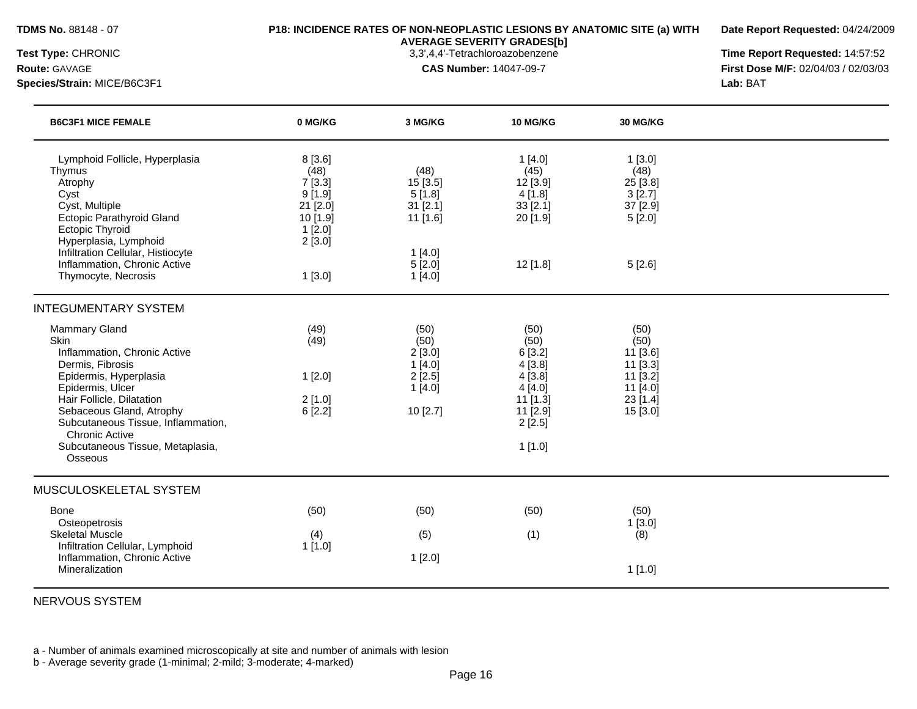**Date Report Requested:** 04/24/2009

**Species/Strain:** MICE/B6C3F1 **Lab:** BAT

**AVERAGE SEVERITY GRADES[b]**

**Test Type:** CHRONIC 3,3',4,4'-Tetrachloroazobenzene **Time Report Requested:** 14:57:52 **Route:** GAVAGE **CAS Number:** 14047-09-7 **First Dose M/F:** 02/04/03 / 02/03/03

| 8[3.6]<br>(48)<br>7[3.3]<br>9[1.9]<br>21 [2.0] | (48)<br>15 [3.5]                                                | 1[4.0]<br>(45)                                                                                     | 1[3.0]<br>(48)                                                                       |
|------------------------------------------------|-----------------------------------------------------------------|----------------------------------------------------------------------------------------------------|--------------------------------------------------------------------------------------|
| 10 [1.9]<br>1[2.0]<br>2[3.0]                   | 5[1.8]<br>31 [2.1]<br>11 [1.6]                                  | 12 [3.9]<br>4[1.8]<br>33 [2.1]<br>20 [1.9]                                                         | 25 [3.8]<br>3[2.7]<br>37 [2.9]<br>5[2.0]                                             |
| 1[3.0]                                         | 1[4.0]<br>5[2.0]<br>1[4.0]                                      | $12$ [1.8]                                                                                         | 5[2.6]                                                                               |
|                                                |                                                                 |                                                                                                    |                                                                                      |
| (49)<br>(49)<br>1[2.0]<br>2[1.0]<br>6[2.2]     | (50)<br>(50)<br>2[3.0]<br>1[4.0]<br>2[2.5]<br>1[4.0]<br>10[2.7] | (50)<br>(50)<br>6[3.2]<br>4[3.8]<br>4[3.8]<br>4[4.0]<br>$11$ [1.3]<br>11 [2.9]<br>2[2.5]<br>1[1.0] | (50)<br>(50)<br>11 [3.6]<br>11 [3.3]<br>11 [3.2]<br>11 [4.0]<br>23 [1.4]<br>15 [3.0] |
|                                                |                                                                 |                                                                                                    |                                                                                      |
| (4)<br>1[1.0]                                  | (5)<br>1[2.0]                                                   | (1)                                                                                                | (50)<br>1[3.0]<br>(8)<br>1[1.0]                                                      |
|                                                | (50)                                                            | (50)                                                                                               | (50)                                                                                 |

NERVOUS SYSTEM

a - Number of animals examined microscopically at site and number of animals with lesion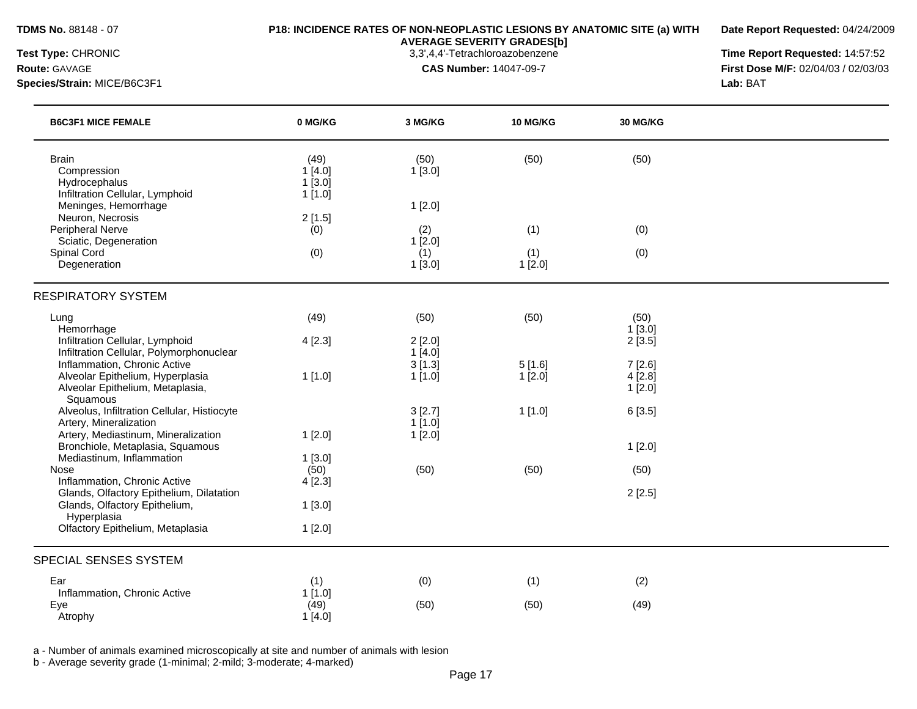**Date Report Requested:** 04/24/2009

**AVERAGE SEVERITY GRADES[b]**

**Species/Strain:** MICE/B6C3F1 **Lab:** BAT

**Test Type:** CHRONIC 3,3',4,4'-Tetrachloroazobenzene **Time Report Requested:** 14:57:52 **Route:** GAVAGE **CAS Number:** 14047-09-7 **First Dose M/F:** 02/04/03 / 02/03/03

| <b>B6C3F1 MICE FEMALE</b>                                                                | 0 MG/KG                            | 3 MG/KG          | 10 MG/KG         | 30 MG/KG            |  |
|------------------------------------------------------------------------------------------|------------------------------------|------------------|------------------|---------------------|--|
| <b>Brain</b><br>Compression<br>Hydrocephalus<br>Infiltration Cellular, Lymphoid          | (49)<br>1[4.0]<br>1[3.0]<br>1[1.0] | (50)<br>1[3.0]   | (50)             | (50)                |  |
| Meninges, Hemorrhage                                                                     |                                    | 1[2.0]           |                  |                     |  |
| Neuron, Necrosis<br><b>Peripheral Nerve</b>                                              | 2[1.5]<br>(0)                      | (2)              | (1)              | (0)                 |  |
| Sciatic, Degeneration                                                                    |                                    | 1[2.0]           |                  |                     |  |
| Spinal Cord<br>Degeneration                                                              | (0)                                | (1)<br>1[3.0]    | (1)<br>1[2.0]    | (0)                 |  |
| <b>RESPIRATORY SYSTEM</b>                                                                |                                    |                  |                  |                     |  |
| Lung                                                                                     | (49)                               | (50)             | (50)             | (50)                |  |
| Hemorrhage<br>Infiltration Cellular, Lymphoid                                            | 4[2.3]                             | 2[2.0]           |                  | 1[3.0]<br>2[3.5]    |  |
| Infiltration Cellular, Polymorphonuclear                                                 |                                    | 1[4.0]           |                  |                     |  |
| Inflammation, Chronic Active<br>Alveolar Epithelium, Hyperplasia                         | 1[1.0]                             | 3[1.3]<br>1[1.0] | 5[1.6]<br>1[2.0] | 7[2.6]<br>$4$ [2.8] |  |
| Alveolar Epithelium, Metaplasia,                                                         |                                    |                  |                  | 1[2.0]              |  |
| Squamous<br>Alveolus, Infiltration Cellular, Histiocyte                                  |                                    | 3 [2.7]          | 1[1.0]           | 6[3.5]              |  |
| Artery, Mineralization                                                                   |                                    | 1[1.0]           |                  |                     |  |
| Artery, Mediastinum, Mineralization                                                      | 1[2.0]                             | 1[2.0]           |                  |                     |  |
| Bronchiole, Metaplasia, Squamous<br>Mediastinum, Inflammation                            | 1[3.0]                             |                  |                  | 1[2.0]              |  |
| Nose                                                                                     | (50)                               | (50)             | (50)             | (50)                |  |
| Inflammation, Chronic Active                                                             | 4[2.3]                             |                  |                  |                     |  |
| Glands, Olfactory Epithelium, Dilatation<br>Glands, Olfactory Epithelium,<br>Hyperplasia | 1[3.0]                             |                  |                  | 2[2.5]              |  |
| Olfactory Epithelium, Metaplasia                                                         | 1[2.0]                             |                  |                  |                     |  |
| SPECIAL SENSES SYSTEM                                                                    |                                    |                  |                  |                     |  |
| Ear                                                                                      | (1)                                | (0)              | (1)              | (2)                 |  |
| Inflammation, Chronic Active                                                             | 1[1.0]                             |                  |                  |                     |  |
| Eye<br>Atrophy                                                                           | (49)<br>1[4.0]                     | (50)             | (50)             | (49)                |  |
|                                                                                          |                                    |                  |                  |                     |  |

a - Number of animals examined microscopically at site and number of animals with lesion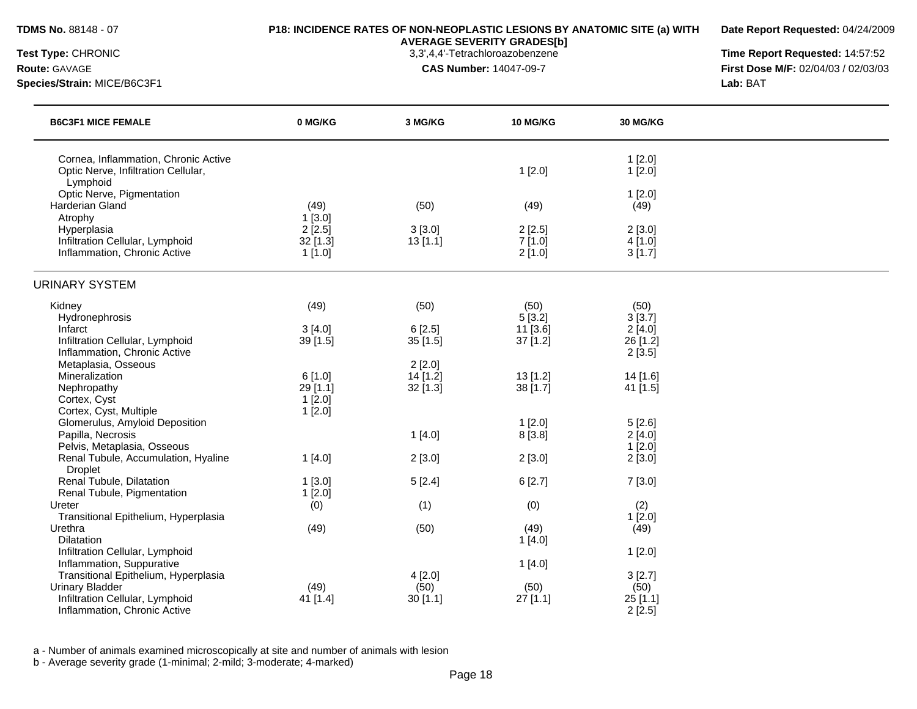**Date Report Requested:** 04/24/2009

**AVERAGE SEVERITY GRADES[b]**

**Species/Strain:** MICE/B6C3F1 **Lab:** BAT

**Test Type:** CHRONIC 3,3',4,4'-Tetrachloroazobenzene **Time Report Requested:** 14:57:52 **Route:** GAVAGE **CAS Number:** 14047-09-7 **First Dose M/F:** 02/04/03 / 02/03/03

| <b>B6C3F1 MICE FEMALE</b>                                                               | 0 MG/KG    | 3 MG/KG    | <b>10 MG/KG</b> | <b>30 MG/KG</b>  |  |
|-----------------------------------------------------------------------------------------|------------|------------|-----------------|------------------|--|
| Cornea, Inflammation, Chronic Active<br>Optic Nerve, Infiltration Cellular,<br>Lymphoid |            |            | 1[2.0]          | 1[2.0]<br>1[2.0] |  |
| Optic Nerve, Pigmentation<br><b>Harderian Gland</b>                                     | (49)       | (50)       | (49)            | 1[2.0]<br>(49)   |  |
| Atrophy                                                                                 | 1[3.0]     |            |                 |                  |  |
| Hyperplasia                                                                             | 2[2.5]     | 3[3.0]     | 2[2.5]          | 2[3.0]           |  |
| Infiltration Cellular, Lymphoid                                                         | $32$ [1.3] | 13[1.1]    | 7[1.0]          | 4[1.0]           |  |
| Inflammation, Chronic Active                                                            | 1[1.0]     |            | 2[1.0]          | 3[1.7]           |  |
| <b>URINARY SYSTEM</b>                                                                   |            |            |                 |                  |  |
| Kidney                                                                                  | (49)       | (50)       | (50)            | (50)             |  |
| Hydronephrosis                                                                          |            |            | 5[3.2]          | 3[3.7]           |  |
| Infarct                                                                                 | 3[4.0]     | 6[2.5]     | 11 [3.6]        | 2[4.0]           |  |
| Infiltration Cellular, Lymphoid                                                         | 39 [1.5]   | 35[1.5]    | $37$ [1.2]      | 26 [1.2]         |  |
| Inflammation, Chronic Active                                                            |            |            |                 | 2[3.5]           |  |
| Metaplasia, Osseous                                                                     |            | 2[2.0]     |                 |                  |  |
| Mineralization                                                                          | 6[1.0]     | $14$ [1.2] | 13[1.2]         | 14 [1.6]         |  |
| Nephropathy                                                                             | 29 [1.1]   | $32$ [1.3] | 38 [1.7]        | 41 [1.5]         |  |
| Cortex, Cyst                                                                            | 1[2.0]     |            |                 |                  |  |
| Cortex, Cyst, Multiple                                                                  | 1[2.0]     |            |                 |                  |  |
| Glomerulus, Amyloid Deposition                                                          |            |            | 1[2.0]          | 5[2.6]           |  |
| Papilla, Necrosis                                                                       |            | 1[4.0]     | 8 [3.8]         | 2[4.0]           |  |
| Pelvis, Metaplasia, Osseous                                                             |            |            |                 | 1[2.0]           |  |
| Renal Tubule, Accumulation, Hyaline<br><b>Droplet</b>                                   | 1[4.0]     | 2[3.0]     | 2[3.0]          | 2[3.0]           |  |
| Renal Tubule, Dilatation                                                                | $1$ [3.0]  | 5[2.4]     | 6[2.7]          | 7[3.0]           |  |
| Renal Tubule, Pigmentation                                                              | 1[2.0]     |            |                 |                  |  |
| Ureter                                                                                  | (0)        | (1)        | (0)             | (2)              |  |
| Transitional Epithelium, Hyperplasia                                                    |            |            |                 | 1[2.0]           |  |
| Urethra                                                                                 | (49)       | (50)       | (49)            | (49)             |  |
| <b>Dilatation</b>                                                                       |            |            | 1[4.0]          |                  |  |
| Infiltration Cellular, Lymphoid                                                         |            |            |                 | 1[2.0]           |  |
| Inflammation, Suppurative                                                               |            |            | 1[4.0]          |                  |  |
| Transitional Epithelium, Hyperplasia                                                    |            | 4[2.0]     |                 | 3[2.7]           |  |
| <b>Urinary Bladder</b>                                                                  | (49)       | (50)       | (50)            | (50)             |  |
| Infiltration Cellular, Lymphoid                                                         | 41 [1.4]   | 30[1.1]    | $27$ [1.1]      | 25 [1.1]         |  |
| Inflammation, Chronic Active                                                            |            |            |                 | 2[2.5]           |  |

a - Number of animals examined microscopically at site and number of animals with lesion